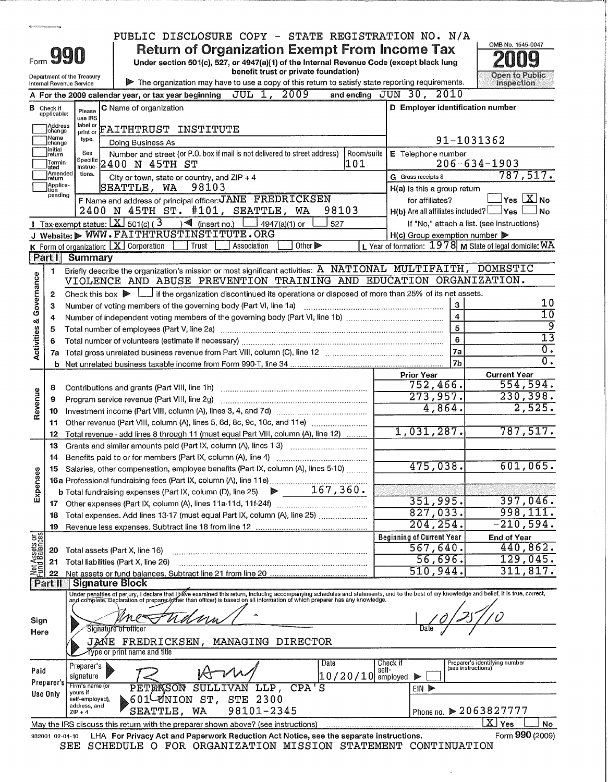|                            |                                  |                                      | PUBLIC DISCLOSURE COPY - STATE REGISTRATION NO. N/A                                                                                                                                                                            |                                                    |                                                           |
|----------------------------|----------------------------------|--------------------------------------|--------------------------------------------------------------------------------------------------------------------------------------------------------------------------------------------------------------------------------|----------------------------------------------------|-----------------------------------------------------------|
|                            |                                  |                                      | <b>Return of Organization Exempt From Income Tax</b>                                                                                                                                                                           |                                                    | OMB No. 1545-0047                                         |
|                            |                                  | $_{\tiny{\textrm{\tiny{Form}}}}$ 990 | Under section 501(c), 527, or 4947(a)(1) of the Internal Revenue Code (except black lung                                                                                                                                       |                                                    |                                                           |
| Department of the Treasury |                                  |                                      | benefit trust or private foundation)                                                                                                                                                                                           | <b>Open to Public</b>                              |                                                           |
|                            |                                  | Internal Revenue Service             | The organization may have to use a copy of this return to satisfy state reporting requirements.<br>JUL 1, 2009                                                                                                                 | and ending JUN 30, 2010                            | Inspection                                                |
|                            |                                  |                                      | A For the 2009 calendar year, or tax year beginning                                                                                                                                                                            | D Employer identification number                   |                                                           |
|                            | <b>B</b> Check if<br>applicable: | Please<br>use IRS                    | C Name of organization                                                                                                                                                                                                         |                                                    |                                                           |
|                            | Address<br>change                | label or<br>print or                 | FAITHTRUST INSTITUTE                                                                                                                                                                                                           |                                                    |                                                           |
|                            | Name<br>change                   | type.                                | Doing Business As                                                                                                                                                                                                              |                                                    | 91-1031362                                                |
|                            | Initial<br>return                | See<br>Specific                      | Number and street (or P.O. box if mail is not delivered to street address)<br>l Room/suite                                                                                                                                     | E Telephone number                                 |                                                           |
|                            | Termin-<br>ated<br>]Amended      | Instruc-<br>tions.                   | 2400 N 45TH ST<br> 101                                                                                                                                                                                                         |                                                    | $206 - 634 - 1903$<br>787,517.                            |
|                            | Ireturn<br>Applica-              |                                      | City or town, state or country, and $ZIP + 4$<br>98103<br>SEATTLE, WA                                                                                                                                                          | G Gross receipts \$<br>H(a) Is this a group return |                                                           |
|                            | tion<br>pending                  |                                      | F Name and address of principal officer: JANE FREDRICKSEN                                                                                                                                                                      | for affiliates?                                    | Yes $X$ No                                                |
|                            |                                  |                                      | 2400 N 45TH ST. #101, SEATTLE, WA<br>98103                                                                                                                                                                                     | $H(b)$ Are all affiliates included? $\Box$ Yes     | No                                                        |
|                            |                                  |                                      | 1 Tax-exempt status: $X \sim 501(c)$ (3<br>$\sqrt{\frac{2}{\pi}}$ (insert no.)<br>527<br>4947(a)(1) or                                                                                                                         |                                                    | If "No," attach a list. (see instructions)                |
|                            |                                  |                                      | J Website: WWW.FAITHTRUSTINSTITUTE.ORG                                                                                                                                                                                         | $H(c)$ Group exemption number $\triangleright$     |                                                           |
|                            | Part I                           | <b>Summary</b>                       | K Form of organization: $X$ Corporation<br>Other $\triangleright$<br>Trust<br>Association                                                                                                                                      |                                                    | L Year of formation: $1978$ M State of legal domicile: WA |
|                            | 1                                |                                      | Briefly describe the organization's mission or most significant activities: A NATIONAL MULTIFAITH,                                                                                                                             |                                                    | <b>DOMESTIC</b>                                           |
| Governance                 |                                  |                                      | VIOLENCE AND ABUSE PREVENTION TRAINING AND EDUCATION ORGANIZATION.                                                                                                                                                             |                                                    |                                                           |
|                            | 2                                |                                      | Check this box $\blacktriangleright$ $\blacktriangleright$ if the organization discontinued its operations or disposed of more than 25% of its net assets.                                                                     |                                                    |                                                           |
|                            | 3                                |                                      | Number of voting members of the governing body (Part VI, line 1a)                                                                                                                                                              | $\mathbf{3}$                                       | 10                                                        |
| ಳ                          | 4                                |                                      |                                                                                                                                                                                                                                | $\overline{4}$                                     | $\overline{10}$<br>९                                      |
| Activities                 | 5                                |                                      |                                                                                                                                                                                                                                | 5<br>6                                             | $\overline{13}$                                           |
|                            | 6<br>7a                          |                                      |                                                                                                                                                                                                                                | 7a                                                 | $\overline{0}$ .                                          |
|                            |                                  |                                      |                                                                                                                                                                                                                                | 7 <sub>b</sub>                                     | $\overline{0}$ .                                          |
|                            |                                  |                                      |                                                                                                                                                                                                                                | <b>Prior Year</b>                                  | <b>Current Year</b>                                       |
|                            | 8                                |                                      |                                                                                                                                                                                                                                | $752,466$ .                                        | 554,594.                                                  |
| Revenue                    | 9                                |                                      |                                                                                                                                                                                                                                | 273,957.                                           | 230,398.                                                  |
|                            | 10                               |                                      |                                                                                                                                                                                                                                | 4,864.                                             | 2,525.                                                    |
|                            | 11<br>12                         |                                      | Other revenue (Part VIII, column (A), lines 5, 6d, 8c, 9c, 10c, and 11e)<br>Total revenue - add lines 8 through 11 (must equal Part VIII, column (A), line 12)                                                                 | 1,031,287.                                         | 787,517.                                                  |
|                            | 13                               |                                      | Grants and similar amounts paid (Part IX, column (A), lines 1-3)                                                                                                                                                               |                                                    |                                                           |
|                            | 14                               |                                      | Benefits paid to or for members (Part IX, column (A), line 4)                                                                                                                                                                  |                                                    |                                                           |
|                            | 15                               |                                      | Salaries, other compensation, employee benefits (Part IX, column (A), lines 5-10)                                                                                                                                              | 475,038.                                           | $601,065$ .                                               |
| Expenses                   |                                  |                                      | 15 Salaries, other compenses on the compensation of the California (A), line 11e)<br>16a Professional fundraising fees (Part IX, column (A), line 11e) 2000 167, 360.                                                          |                                                    |                                                           |
|                            |                                  |                                      |                                                                                                                                                                                                                                | 351,995.                                           | 397,046.                                                  |
|                            | 17<br>18                         |                                      | Total expenses. Add lines 13-17 (must equal Part IX, column (A), line 25)                                                                                                                                                      | 827,033.                                           | 998,111.                                                  |
|                            | 19                               |                                      |                                                                                                                                                                                                                                | 204, 254.                                          | $-210,594.$                                               |
|                            |                                  |                                      |                                                                                                                                                                                                                                | <b>Beginning of Current Year</b>                   | <b>End of Year</b>                                        |
| Net Assets or              | 20                               |                                      | Total assets (Part X, line 16)                                                                                                                                                                                                 | 567,640.                                           | 440,862.                                                  |
|                            | 21                               |                                      | Total liabilities (Part X, line 26)                                                                                                                                                                                            | 56,696.<br>510,944.                                | 129,045.<br>311,817.                                      |
|                            | 22<br>$\sqrt{\text{Part II}}$    |                                      | <b>Signature Block</b>                                                                                                                                                                                                         |                                                    |                                                           |
|                            |                                  |                                      | Under penalties of perjury, I declare that I bave examined this return, including accompanying schedules and statements, and to the best of my knowledge and belief, it is true, correct, and complete. Declaration of prepare |                                                    |                                                           |
|                            |                                  |                                      |                                                                                                                                                                                                                                |                                                    |                                                           |
| Sign                       |                                  |                                      |                                                                                                                                                                                                                                |                                                    |                                                           |
| Here                       |                                  |                                      | Signature of officer                                                                                                                                                                                                           |                                                    |                                                           |
|                            |                                  |                                      | JAŃE FREDRICKSEN,<br>MANAGING DIRECTOR<br>Type or print name and title                                                                                                                                                         |                                                    |                                                           |
|                            |                                  |                                      | Date                                                                                                                                                                                                                           | Check if                                           | Preparer's identifying number<br>(see instructions)       |
| Paid                       |                                  | Preparer's<br>signature              | $10/20/10$ employed                                                                                                                                                                                                            | self-                                              |                                                           |
|                            | Preparer's                       | Firm's name (or<br>yours if          | SULLIVAN LLP,<br>CPA'S<br>PETERSON                                                                                                                                                                                             | EIN D                                              |                                                           |
|                            | Use Only                         | self-employed),<br>address, and      | 601 UNION ST, STE 2300                                                                                                                                                                                                         |                                                    |                                                           |
|                            |                                  | $ZIP + 4$                            | 98101-2345<br>SEATTLE,<br>WА                                                                                                                                                                                                   |                                                    | Phone no. ▶ 2063827777                                    |
|                            |                                  |                                      | May the IRS discuss this return with the preparer shown above? (see instructions)                                                                                                                                              |                                                    | $\overline{\mathrm{X}}$ Yes<br>No                         |
|                            | 932001 02-04-10                  |                                      | LHA For Privacy Act and Paperwork Reduction Act Notice, see the separate instructions.<br>CEE COUPDIIIE O EOD ODCANTEAMION MICCION CMAMEMENT CONTINUIAMION                                                                     |                                                    | Form 990 (2009)                                           |

SEE SCHEDULE O FOR ORGANIZATION MISSION STATEMENT CONTINUATION

 $\hat{\mathcal{A}}$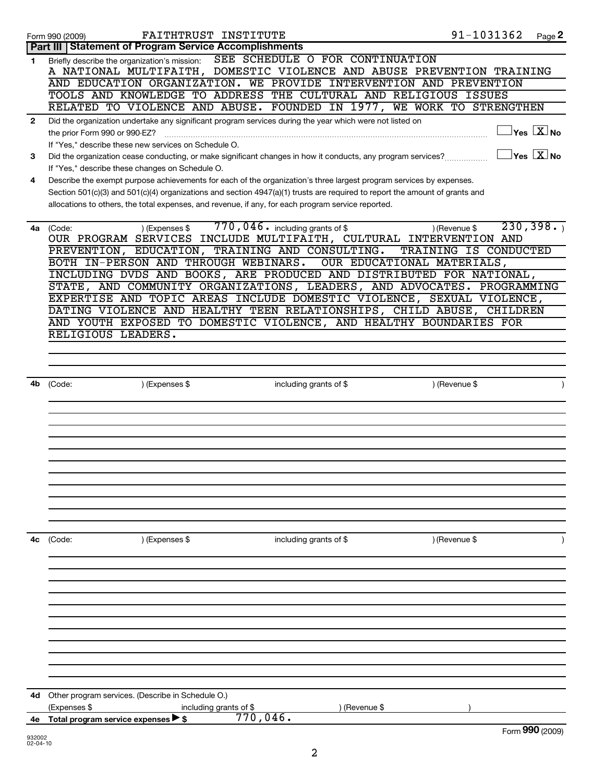|              | FAITHTRUST INSTITUTE<br>Form 990 (2009)                                                                                                                         | 91-1031362 | Page 2                                  |
|--------------|-----------------------------------------------------------------------------------------------------------------------------------------------------------------|------------|-----------------------------------------|
|              | <b>Part III   Statement of Program Service Accomplishments</b>                                                                                                  |            |                                         |
| 1            | SEE SCHEDULE O FOR CONTINUATION<br>Briefly describe the organization's mission:<br>A NATIONAL MULTIFAITH, DOMESTIC VIOLENCE AND ABUSE PREVENTION TRAINING       |            |                                         |
|              | AND EDUCATION ORGANIZATION. WE PROVIDE INTERVENTION AND PREVENTION                                                                                              |            |                                         |
|              | TOOLS AND KNOWLEDGE TO ADDRESS THE CULTURAL AND RELIGIOUS ISSUES                                                                                                |            |                                         |
|              | RELATED TO VIOLENCE AND ABUSE. FOUNDED IN 1977, WE WORK TO STRENGTHEN                                                                                           |            |                                         |
| $\mathbf{2}$ | Did the organization undertake any significant program services during the year which were not listed on<br>the prior Form 990 or 990-EZ?                       |            | $\exists$ Yes $\boxed{\text{X}}$ No     |
|              | If "Yes," describe these new services on Schedule O.                                                                                                            |            |                                         |
| 3            | Did the organization cease conducting, or make significant changes in how it conducts, any program services?<br>If "Yes," describe these changes on Schedule O. |            | $\Box$ Yes $[\overline{\mathrm{X}}]$ No |
| 4            | Describe the exempt purpose achievements for each of the organization's three largest program services by expenses.                                             |            |                                         |
|              | Section 501(c)(3) and 501(c)(4) organizations and section 4947(a)(1) trusts are required to report the amount of grants and                                     |            |                                         |
|              | allocations to others, the total expenses, and revenue, if any, for each program service reported.                                                              |            |                                         |
|              |                                                                                                                                                                 |            |                                         |
| 4a           | $770$ , 046. including grants of \$<br>) (Expenses \$<br>) (Revenue \$<br>(Code:<br>OUR PROGRAM SERVICES INCLUDE MULTIFAITH, CULTURAL INTERVENTION AND          |            | 230, 398.                               |
|              | PREVENTION, EDUCATION, TRAINING AND CONSULTING.<br>TRAINING IS CONDUCTED                                                                                        |            |                                         |
|              | BOTH IN-PERSON AND THROUGH WEBINARS.<br>OUR EDUCATIONAL MATERIALS,                                                                                              |            |                                         |
|              | INCLUDING DVDS AND BOOKS, ARE PRODUCED AND DISTRIBUTED FOR NATIONAL,                                                                                            |            |                                         |
|              | STATE, AND COMMUNITY ORGANIZATIONS, LEADERS, AND ADVOCATES. PROGRAMMING                                                                                         |            |                                         |
|              | EXPERTISE AND TOPIC AREAS INCLUDE DOMESTIC VIOLENCE, SEXUAL VIOLENCE,                                                                                           |            |                                         |
|              | DATING VIOLENCE AND HEALTHY TEEN RELATIONSHIPS, CHILD ABUSE, CHILDREN                                                                                           |            |                                         |
|              | AND YOUTH EXPOSED TO DOMESTIC VIOLENCE, AND HEALTHY BOUNDARIES FOR                                                                                              |            |                                         |
|              | RELIGIOUS LEADERS.                                                                                                                                              |            |                                         |
|              |                                                                                                                                                                 |            |                                         |
|              |                                                                                                                                                                 |            |                                         |
|              |                                                                                                                                                                 |            |                                         |
| 4b           | ) (Revenue \$<br>) (Expenses \$<br>including grants of \$<br>(Code:                                                                                             |            | $\lambda$                               |
|              |                                                                                                                                                                 |            |                                         |
|              |                                                                                                                                                                 |            |                                         |
|              |                                                                                                                                                                 |            |                                         |
|              |                                                                                                                                                                 |            |                                         |
|              |                                                                                                                                                                 |            |                                         |
|              |                                                                                                                                                                 |            |                                         |
|              |                                                                                                                                                                 |            |                                         |
|              |                                                                                                                                                                 |            |                                         |
|              |                                                                                                                                                                 |            |                                         |
|              |                                                                                                                                                                 |            |                                         |
|              |                                                                                                                                                                 |            |                                         |
|              |                                                                                                                                                                 |            |                                         |
| 4с           | ) (Expenses \$<br>including grants of $$$<br>) (Revenue \$<br>(Code:                                                                                            |            |                                         |
|              |                                                                                                                                                                 |            |                                         |
|              |                                                                                                                                                                 |            |                                         |
|              |                                                                                                                                                                 |            |                                         |
|              |                                                                                                                                                                 |            |                                         |
|              |                                                                                                                                                                 |            |                                         |
|              |                                                                                                                                                                 |            |                                         |
|              |                                                                                                                                                                 |            |                                         |
|              |                                                                                                                                                                 |            |                                         |
|              |                                                                                                                                                                 |            |                                         |
|              |                                                                                                                                                                 |            |                                         |
|              |                                                                                                                                                                 |            |                                         |
|              |                                                                                                                                                                 |            |                                         |
| 4d           | Other program services. (Describe in Schedule O.)                                                                                                               |            |                                         |
|              | (Expenses \$<br>) (Revenue \$<br>including grants of \$                                                                                                         |            |                                         |
| 4е           | $770,046$ .<br>Total program service expenses > \$                                                                                                              |            |                                         |
|              |                                                                                                                                                                 |            | Form 990 (2009)                         |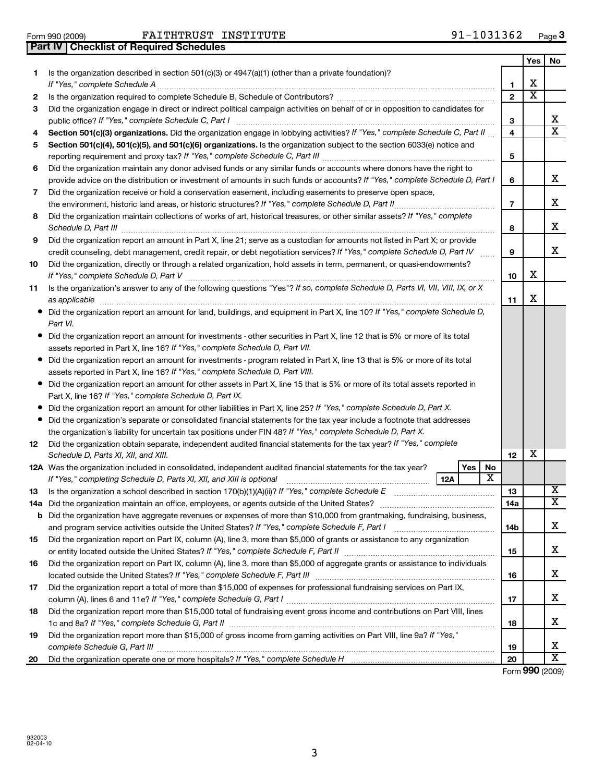|     | 91-1031362<br>FAITHTRUST INSTITUTE<br>Form 990 (2009)                                                                                                                                                                                                                                              |                |                       | Page 3                |
|-----|----------------------------------------------------------------------------------------------------------------------------------------------------------------------------------------------------------------------------------------------------------------------------------------------------|----------------|-----------------------|-----------------------|
|     | Part IV   Checklist of Required Schedules                                                                                                                                                                                                                                                          |                |                       |                       |
|     |                                                                                                                                                                                                                                                                                                    |                | Yes                   | No                    |
| 1.  | Is the organization described in section 501(c)(3) or 4947(a)(1) (other than a private foundation)?<br>If "Yes," complete Schedule A                                                                                                                                                               | 1              | х                     |                       |
| 2   |                                                                                                                                                                                                                                                                                                    | $\mathbf{2}$   | $\overline{\text{x}}$ |                       |
| 3   | Did the organization engage in direct or indirect political campaign activities on behalf of or in opposition to candidates for                                                                                                                                                                    |                |                       |                       |
|     | public office? If "Yes," complete Schedule C, Part I                                                                                                                                                                                                                                               | 3              |                       | X                     |
| 4   | Section 501(c)(3) organizations. Did the organization engage in lobbying activities? If "Yes," complete Schedule C, Part II                                                                                                                                                                        | 4              |                       | $\overline{\text{x}}$ |
| 5   | Section 501(c)(4), 501(c)(5), and 501(c)(6) organizations. Is the organization subject to the section 6033(e) notice and                                                                                                                                                                           |                |                       |                       |
|     |                                                                                                                                                                                                                                                                                                    | 5              |                       |                       |
| 6   | Did the organization maintain any donor advised funds or any similar funds or accounts where donors have the right to                                                                                                                                                                              |                |                       |                       |
|     | provide advice on the distribution or investment of amounts in such funds or accounts? If "Yes," complete Schedule D, Part I                                                                                                                                                                       | 6              |                       | х                     |
| 7   | Did the organization receive or hold a conservation easement, including easements to preserve open space,                                                                                                                                                                                          |                |                       |                       |
|     |                                                                                                                                                                                                                                                                                                    | $\overline{7}$ |                       | х                     |
| 8   | Did the organization maintain collections of works of art, historical treasures, or other similar assets? If "Yes," complete                                                                                                                                                                       |                |                       |                       |
|     | Schedule D, Part III                                                                                                                                                                                                                                                                               | 8              |                       | х                     |
| 9   | Did the organization report an amount in Part X, line 21; serve as a custodian for amounts not listed in Part X; or provide                                                                                                                                                                        |                |                       |                       |
|     | credit counseling, debt management, credit repair, or debt negotiation services? If "Yes," complete Schedule D, Part IV                                                                                                                                                                            | 9              |                       | X                     |
| 10  | Did the organization, directly or through a related organization, hold assets in term, permanent, or quasi-endowments?                                                                                                                                                                             |                |                       |                       |
|     |                                                                                                                                                                                                                                                                                                    | 10             | X                     |                       |
| 11  | Is the organization's answer to any of the following questions "Yes"? If so, complete Schedule D, Parts VI, VII, VIII, IX, or X<br>as applicable                                                                                                                                                   | 11             | X                     |                       |
|     | Did the organization report an amount for land, buildings, and equipment in Part X, line 10? If "Yes," complete Schedule D,                                                                                                                                                                        |                |                       |                       |
|     | Part VI.                                                                                                                                                                                                                                                                                           |                |                       |                       |
|     | Did the organization report an amount for investments - other securities in Part X, line 12 that is 5% or more of its total<br>assets reported in Part X, line 16? If "Yes," complete Schedule D, Part VII.                                                                                        |                |                       |                       |
|     | Did the organization report an amount for investments - program related in Part X, line 13 that is 5% or more of its total<br>assets reported in Part X, line 16? If "Yes," complete Schedule D, Part VIII.                                                                                        |                |                       |                       |
|     | Did the organization report an amount for other assets in Part X, line 15 that is 5% or more of its total assets reported in                                                                                                                                                                       |                |                       |                       |
|     | Part X, line 16? If "Yes," complete Schedule D, Part IX.                                                                                                                                                                                                                                           |                |                       |                       |
|     | Did the organization report an amount for other liabilities in Part X, line 25? If "Yes," complete Schedule D, Part X.                                                                                                                                                                             |                |                       |                       |
|     | Did the organization's separate or consolidated financial statements for the tax year include a footnote that addresses                                                                                                                                                                            |                |                       |                       |
|     | the organization's liability for uncertain tax positions under FIN 48? If "Yes," complete Schedule D, Part X.                                                                                                                                                                                      |                |                       |                       |
| 12  | Did the organization obtain separate, independent audited financial statements for the tax year? If "Yes," complete                                                                                                                                                                                |                |                       |                       |
|     | Schedule D, Parts XI, XII, and XIII.                                                                                                                                                                                                                                                               | 12             | X                     |                       |
|     | <b>No</b><br><b>Yes</b><br><b>12A</b> Was the organization included in consolidated, independent audited financial statements for the tax year?<br>$\overline{\textbf{X}}$<br>If "Yes," completing Schedule D, Parts XI, XII, and XIII is optional [11] [11] www.communitions.communitions.<br>12A |                |                       |                       |
| 13  | Is the organization a school described in section $170(b)(1)(A)(ii)?$ If "Yes," complete Schedule E                                                                                                                                                                                                | 13             |                       | X                     |
| 14a |                                                                                                                                                                                                                                                                                                    | 14a            |                       | X                     |
|     | <b>b</b> Did the organization have aggregate revenues or expenses of more than \$10,000 from grantmaking, fundraising, business,                                                                                                                                                                   |                |                       |                       |
|     |                                                                                                                                                                                                                                                                                                    | 14b            |                       | x                     |
| 15  | Did the organization report on Part IX, column (A), line 3, more than \$5,000 of grants or assistance to any organization                                                                                                                                                                          |                |                       |                       |
|     |                                                                                                                                                                                                                                                                                                    | 15             |                       | х                     |
| 16  | Did the organization report on Part IX, column (A), line 3, more than \$5,000 of aggregate grants or assistance to individuals                                                                                                                                                                     |                |                       |                       |
|     |                                                                                                                                                                                                                                                                                                    | 16             |                       | x                     |
| 17  | Did the organization report a total of more than \$15,000 of expenses for professional fundraising services on Part IX,                                                                                                                                                                            |                |                       |                       |
|     |                                                                                                                                                                                                                                                                                                    | 17             |                       | x                     |
| 18  | Did the organization report more than \$15,000 total of fundraising event gross income and contributions on Part VIII, lines                                                                                                                                                                       | 18             |                       | х                     |
| 19  | Did the organization report more than \$15,000 of gross income from gaming activities on Part VIII, line 9a? If "Yes,"                                                                                                                                                                             |                |                       |                       |

X X

Form (2009) **990**

**19 20**

~~~~~~~~~~~~~~~~~~~~~~~~~~~~~~~~~~~~~~~~~~~~~~~

**20**

*complete Schedule G, Part III*

Did the organization operate one or more hospitals? If "Yes," complete Schedule H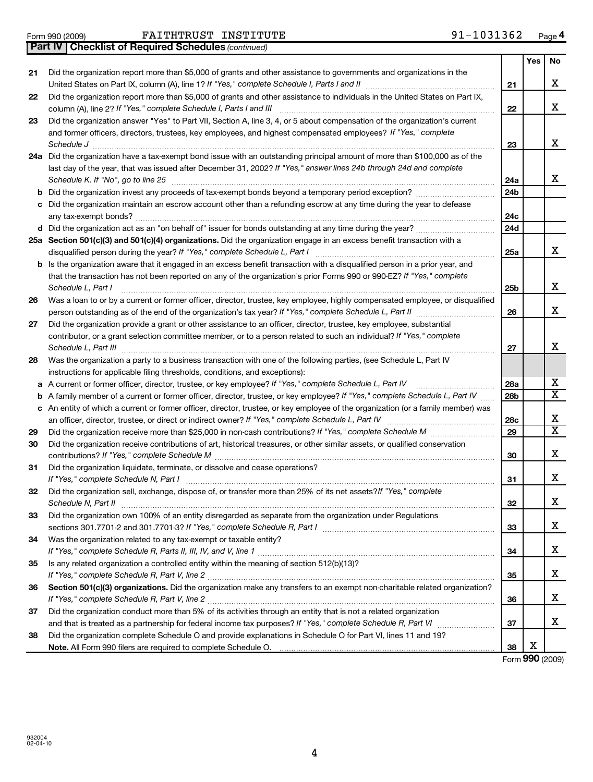**31**

**32**

**33**

**34**

**35**

**36**

**37**

**38**

| 21 | Did the organization report more than \$5,000 of grants and other assistance to governments and organizations in the                                                                                                                                                                    |
|----|-----------------------------------------------------------------------------------------------------------------------------------------------------------------------------------------------------------------------------------------------------------------------------------------|
|    | United States on Part IX, column (A), line 1? If "Yes," complete Schedule I, Parts I and II [[[[[[[[[[[[[[[[[                                                                                                                                                                           |
| 22 | Did the organization report more than \$5,000 of grants and other assistance to individuals in the United States on Part IX,                                                                                                                                                            |
| 23 | Did the organization answer "Yes" to Part VII, Section A, line 3, 4, or 5 about compensation of the organization's current<br>and former officers, directors, trustees, key employees, and highest compensated employees? If "Yes," complete<br>Schedule J                              |
|    | 24a Did the organization have a tax-exempt bond issue with an outstanding principal amount of more than \$100,000 as of the<br>last day of the year, that was issued after December 31, 2002? If "Yes," answer lines 24b through 24d and complete<br>Schedule K. If "No", go to line 25 |
| b  | Did the organization invest any proceeds of tax-exempt bonds beyond a temporary period exception?                                                                                                                                                                                       |
| с  | Did the organization maintain an escrow account other than a refunding escrow at any time during the year to defease                                                                                                                                                                    |
|    | d Did the organization act as an "on behalf of" issuer for bonds outstanding at any time during the year?                                                                                                                                                                               |
|    | 25a Section 501(c)(3) and 501(c)(4) organizations. Did the organization engage in an excess benefit transaction with a<br>disqualified person during the year? If "Yes," complete Schedule L, Part I                                                                                    |
|    | b Is the organization aware that it engaged in an excess benefit transaction with a disqualified person in a prior year, and<br>that the transaction has not been reported on any of the organization's prior Forms 990 or 990-EZ? If "Yes," complete<br>Schedule L, Part I             |
| 26 | Was a loan to or by a current or former officer, director, trustee, key employee, highly compensated employee, or disqualified                                                                                                                                                          |
| 27 | Did the organization provide a grant or other assistance to an officer, director, trustee, key employee, substantial<br>contributor, or a grant selection committee member, or to a person related to such an individual? If "Yes," complete                                            |
| 28 | Was the organization a party to a business transaction with one of the following parties, (see Schedule L, Part IV<br>instructions for applicable filing thresholds, conditions, and exceptions):                                                                                       |
|    | a A current or former officer, director, trustee, or key employee? If "Yes," complete Schedule L, Part IV                                                                                                                                                                               |
| b  | A family member of a current or former officer, director, trustee, or key employee? If "Yes," complete Schedule L, Part IV                                                                                                                                                              |
|    | c An entity of which a current or former officer, director, trustee, or key employee of the organization (or a family member) was                                                                                                                                                       |
|    |                                                                                                                                                                                                                                                                                         |
| 29 | Did the organization receive more than \$25,000 in non-cash contributions? If "Yes," complete Schedule M                                                                                                                                                                                |
| 30 | Did the organization receive contributions of art, historical treasures, or other similar assets, or qualified conservation                                                                                                                                                             |

# Form 990 (2009) **FAITHTRUST INSTITUTE** 91-1031362 Page

*(continued)* **Part IV Checklist of Required Schedules**

**4**

**21**

**22**

**23**

**24a 24b**

**24c 24d**

**25a**

**25b**

**26**

**27**

**28a 28b**

**28c 29**

**30**

**31**

**32**

**33**

**34**

**35**

**36**

**37**

**38**

**Yes No**

X

X

X

X

X

X

X

X

X  $\overline{\text{x}}$ 

X  $\overline{\text{x}}$ 

X

X

X

X

X

X

X

X

X

Section 501(c)(3) organizations. Did the organization make any transfers to an exempt non-charitable related organization?

*If "Yes," complete Schedule R, Part V, line 2* ~~~~~~~~~~~~~~~~~~~~~~~~~~~~~~~~~~~~~~~~

and that is treated as a partnership for federal income tax purposes? If "Yes," complete Schedule R, Part VI medi

*If "Yes," complete Schedule R, Part V, line 2* ~~~~~~~~~~~~~~~~~~~~~~~~~~~~~~~~~~~~~~~~

*If "Yes," complete Schedule M* contributions? ~~~~~~~~~~~~~~~~~~~~~~~~~~~~~~~~~~~~~~~

*If "Yes," complete Schedule N, Part I* ~~~~~~~~~~~~~~~~~~~~~~~~~~~~~~~~~~~~~~~~~~~

*Schedule N, Part II* ~~~~~~~~~~~~~~~~~~~~~~~~~~~~~~~~~~~~~~~~~~~~~~~~~~~~

*If "Yes," complete Schedule R, Part I* sections 301.7701-2 and 301.7701-3? ~~~~~~~~~~~~~~~~~~~~~~~~

*If "Yes," complete Schedule R, Parts II, III, IV, and V, line 1* ………………………………………………………………………………………

Did the organization sell, exchange, dispose of, or transfer more than 25% of its net assets?If "Yes," complete

Did the organization own 100% of an entity disregarded as separate from the organization under Regulations

Did the organization conduct more than 5% of its activities through an entity that is not a related organization

Did the organization complete Schedule O and provide explanations in Schedule O for Part VI, lines 11 and 19?

Did the organization liquidate, terminate, or dissolve and cease operations?

Is any related organization a controlled entity within the meaning of section 512(b)(13)?

Was the organization related to any tax-exempt or taxable entity?

**Note.**  All Form 990 filers are required to complete Schedule O.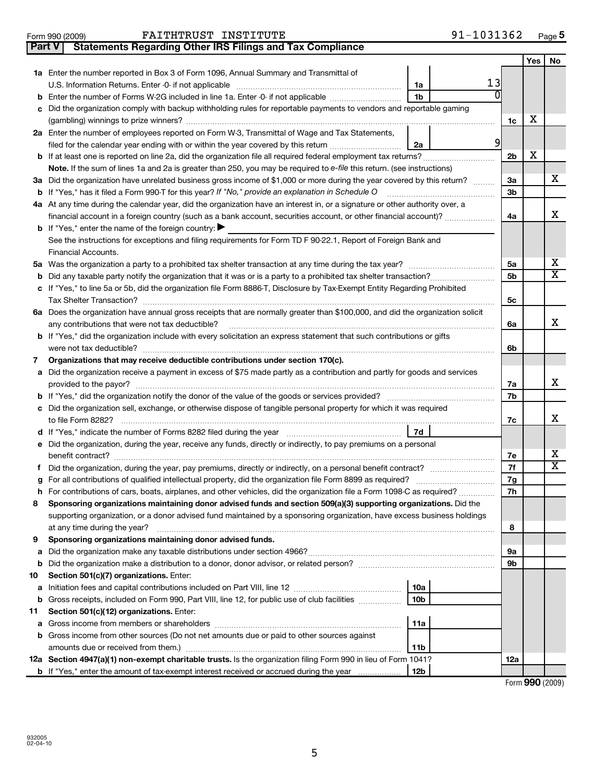| Enter the number reported in Box 3 of Form 1096, Annual Summary and Transmittal of                                                                                                                                                        |                 |                |                |   |    |  |  |  |
|-------------------------------------------------------------------------------------------------------------------------------------------------------------------------------------------------------------------------------------------|-----------------|----------------|----------------|---|----|--|--|--|
|                                                                                                                                                                                                                                           | 1a              | 13             |                |   |    |  |  |  |
| Enter the number of Forms W-2G included in line 1a. Enter -0- if not applicable                                                                                                                                                           | 1b              |                |                |   |    |  |  |  |
| Did the organization comply with backup withholding rules for reportable payments to vendors and reportable gaming                                                                                                                        |                 |                |                |   |    |  |  |  |
|                                                                                                                                                                                                                                           |                 |                | 1c             | х |    |  |  |  |
| Enter the number of employees reported on Form W-3, Transmittal of Wage and Tax Statements,                                                                                                                                               |                 |                |                |   |    |  |  |  |
| filed for the calendar year ending with or within the year covered by this return                                                                                                                                                         | 2a              | $\overline{9}$ |                |   |    |  |  |  |
|                                                                                                                                                                                                                                           |                 |                | 2 <sub>b</sub> | х |    |  |  |  |
| Note. If the sum of lines 1a and 2a is greater than 250, you may be required to e-file this return. (see instructions)                                                                                                                    |                 |                |                |   | x. |  |  |  |
| Did the organization have unrelated business gross income of \$1,000 or more during the year covered by this return?<br>If "Yes," has it filed a Form 990-T for this year? If "No," provide an explanation in Schedule O                  |                 |                |                |   |    |  |  |  |
| At any time during the calendar year, did the organization have an interest in, or a signature or other authority over, a                                                                                                                 |                 |                |                |   |    |  |  |  |
| financial account in a foreign country (such as a bank account, securities account, or other financial account)?                                                                                                                          |                 |                | 4a             |   | x  |  |  |  |
| If "Yes," enter the name of the foreign country:                                                                                                                                                                                          |                 |                |                |   |    |  |  |  |
| See the instructions for exceptions and filing requirements for Form TD F 90-22.1, Report of Foreign Bank and                                                                                                                             |                 |                |                |   |    |  |  |  |
| Financial Accounts.                                                                                                                                                                                                                       |                 |                |                |   |    |  |  |  |
|                                                                                                                                                                                                                                           |                 |                | 5a             |   | x  |  |  |  |
| Did any taxable party notify the organization that it was or is a party to a prohibited tax shelter transaction?                                                                                                                          |                 |                | 5b             |   | x  |  |  |  |
| If "Yes," to line 5a or 5b, did the organization file Form 8886-T, Disclosure by Tax-Exempt Entity Regarding Prohibited                                                                                                                   |                 |                |                |   |    |  |  |  |
|                                                                                                                                                                                                                                           |                 |                | 5с             |   |    |  |  |  |
| Does the organization have annual gross receipts that are normally greater than \$100,000, and did the organization solicit                                                                                                               |                 |                |                |   |    |  |  |  |
|                                                                                                                                                                                                                                           |                 |                | 6a             |   | x  |  |  |  |
| any contributions that were not tax deductible?                                                                                                                                                                                           |                 |                |                |   |    |  |  |  |
| If "Yes," did the organization include with every solicitation an express statement that such contributions or gifts                                                                                                                      |                 |                |                |   |    |  |  |  |
| Organizations that may receive deductible contributions under section 170(c).                                                                                                                                                             |                 |                | 6b             |   |    |  |  |  |
| Did the organization receive a payment in excess of \$75 made partly as a contribution and partly for goods and services                                                                                                                  |                 |                |                |   |    |  |  |  |
| provided to the payor?                                                                                                                                                                                                                    |                 |                | 7a             |   | x  |  |  |  |
|                                                                                                                                                                                                                                           |                 |                | 7b             |   |    |  |  |  |
| Did the organization sell, exchange, or otherwise dispose of tangible personal property for which it was required                                                                                                                         |                 |                |                |   |    |  |  |  |
|                                                                                                                                                                                                                                           |                 |                | 7c             |   | x  |  |  |  |
|                                                                                                                                                                                                                                           | 7d              |                |                |   |    |  |  |  |
| Did the organization, during the year, receive any funds, directly or indirectly, to pay premiums on a personal                                                                                                                           |                 |                |                |   |    |  |  |  |
|                                                                                                                                                                                                                                           |                 |                | 7е             |   | x  |  |  |  |
|                                                                                                                                                                                                                                           |                 |                | 7f             |   | x  |  |  |  |
| For all contributions of qualified intellectual property, did the organization file Form 8899 as required?                                                                                                                                |                 |                | 7g             |   |    |  |  |  |
|                                                                                                                                                                                                                                           |                 |                | 7h             |   |    |  |  |  |
| For contributions of cars, boats, airplanes, and other vehicles, did the organization file a Form 1098-C as required?<br>Sponsoring organizations maintaining donor advised funds and section 509(a)(3) supporting organizations. Did the |                 |                |                |   |    |  |  |  |
|                                                                                                                                                                                                                                           |                 |                |                |   |    |  |  |  |
| supporting organization, or a donor advised fund maintained by a sponsoring organization, have excess business holdings<br>at any time during the year?                                                                                   |                 |                |                |   |    |  |  |  |
| Sponsoring organizations maintaining donor advised funds.                                                                                                                                                                                 |                 |                | 8              |   |    |  |  |  |
|                                                                                                                                                                                                                                           |                 |                |                |   |    |  |  |  |
|                                                                                                                                                                                                                                           |                 |                | 9а             |   |    |  |  |  |
|                                                                                                                                                                                                                                           |                 |                | 9b             |   |    |  |  |  |
| Section 501(c)(7) organizations. Enter:                                                                                                                                                                                                   |                 |                |                |   |    |  |  |  |
|                                                                                                                                                                                                                                           | 10a             |                |                |   |    |  |  |  |
| Gross receipts, included on Form 990, Part VIII, line 12, for public use of club facilities                                                                                                                                               | 10 <sub>b</sub> |                |                |   |    |  |  |  |
| Section 501(c)(12) organizations. Enter:                                                                                                                                                                                                  |                 |                |                |   |    |  |  |  |
|                                                                                                                                                                                                                                           | 11a             |                |                |   |    |  |  |  |
| Gross income from other sources (Do not net amounts due or paid to other sources against                                                                                                                                                  |                 |                |                |   |    |  |  |  |
|                                                                                                                                                                                                                                           | 11b             |                |                |   |    |  |  |  |
| Section 4947(a)(1) non-exempt charitable trusts. Is the organization filing Form 990 in lieu of Form 1041?                                                                                                                                |                 |                | 12a            |   |    |  |  |  |

5

**12b**

Form (2009) **990**

**Yes No**

**2 a**

**b**

**b c**

**3 a**

**b**

**4 a**

**b**

**5 a**

**b c**

**6 a**

**b**

**a**

**b c**

**d e**

**f g h**

**8**

**9**

**a b**

**a b**

**a b**

**10**

**11**

**12 a**

**7**

| Form 990 (2009) | FAITHTRUST INSTITUTE                                                    | 91-1031362 | Page |
|-----------------|-------------------------------------------------------------------------|------------|------|
|                 | <b>Part V</b> Statements Regarding Other IRS Filings and Tax Compliance |            |      |

**b** If "Yes," enter the amount of tax-exempt interest received or accrued during the year ...................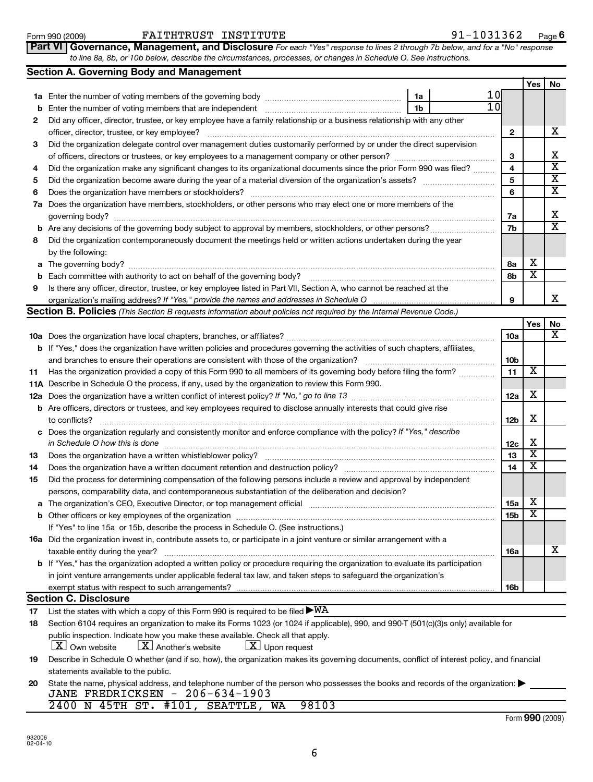| 6    |                                                                                                   |
|------|---------------------------------------------------------------------------------------------------|
|      |                                                                                                   |
| 7a l | Does the organization have members, stockholders, or other persons who may ele<br>governing body? |
| b    | Are any decisions of the governing body subject to approval by members, stockho                   |
| 8    | Did the organization contemporaneously document the meetings held or written ac                   |
|      | by the following:                                                                                 |
| a    |                                                                                                   |
| b    | Each committee with authority to act on behalf of the governing body?                             |
| 9    | Is there any officer, director, trustee, or key employee listed in Part VII, Section A, v         |
|      | organization's mailing address? If "Yes," provide the names and addresses in Sche                 |
|      | <b>Section B. Policies</b> (This Section B requests information about policies not required       |
|      |                                                                                                   |
|      |                                                                                                   |
|      | 10a Does the organization have local chapters, branches, or affiliates?                           |
|      | <b>b</b> If "Yes," does the organization have written policies and procedures governing the       |
|      | and branches to ensure their operations are consistent with those of the organizati               |
|      | Has the organization provided a copy of this Form 990 to all members of its govern                |
|      | <b>11A</b> Describe in Schedule O the process, if any, used by the organization to review this    |
| 11   | 12a Does the organization have a written conflict of interest policy? If "No," go to line 1.      |
|      | <b>b</b> Are officers, directors or trustees, and key employees required to disclose annually     |
|      | to conflicts?                                                                                     |

| Form 990 (2009) | <b>FAITHTRUST</b> | INSTITUTE                                                                                                                    | 103136<br>ч наст |
|-----------------|-------------------|------------------------------------------------------------------------------------------------------------------------------|------------------|
|                 |                   | <b>Part VI Governance, Management, and Disclosure</b> For each "Yes" response to lines 2 through 7b below, and for a "No" re |                  |

**1 a** Enter the number of voting members of the governing body ~~~~~~~~~~~~~~~~~~~

*For each "Yes" response to lines 2 through 7b below, and for a "No" response to line 8a, 8b, or 10b below, describe the circumstances, processes, or changes in Schedule O. See instructions.* **Part VI** | Governance, Management, and Disclosure For each

| b  | Enter the number of voting members that are independent [111] [11] minimum materials and the number of voting                                                                                                    | 1b |  | 10           |                         |                         |  |  |  |
|----|------------------------------------------------------------------------------------------------------------------------------------------------------------------------------------------------------------------|----|--|--------------|-------------------------|-------------------------|--|--|--|
| 2  | Did any officer, director, trustee, or key employee have a family relationship or a business relationship with any other                                                                                         |    |  |              |                         |                         |  |  |  |
|    | officer, director, trustee, or key employee?                                                                                                                                                                     |    |  | $\mathbf{2}$ |                         | X                       |  |  |  |
| 3  | Did the organization delegate control over management duties customarily performed by or under the direct supervision                                                                                            |    |  |              |                         |                         |  |  |  |
|    |                                                                                                                                                                                                                  |    |  | 3            |                         | х                       |  |  |  |
| 4  | Did the organization make any significant changes to its organizational documents since the prior Form 990 was filed?                                                                                            |    |  | 4            |                         | $\overline{\mathbf{X}}$ |  |  |  |
| 5  |                                                                                                                                                                                                                  |    |  | 5            |                         | $\overline{\mathbf{X}}$ |  |  |  |
| 6  | Does the organization have members or stockholders?                                                                                                                                                              |    |  | 6            |                         | $\overline{\mathbf{X}}$ |  |  |  |
| 7a | Does the organization have members, stockholders, or other persons who may elect one or more members of the                                                                                                      |    |  |              |                         |                         |  |  |  |
|    |                                                                                                                                                                                                                  |    |  | 7a           |                         | х                       |  |  |  |
| b  |                                                                                                                                                                                                                  |    |  | 7b           |                         | $\overline{\mathbf{X}}$ |  |  |  |
| 8  | Did the organization contemporaneously document the meetings held or written actions undertaken during the year                                                                                                  |    |  |              |                         |                         |  |  |  |
|    | by the following:                                                                                                                                                                                                |    |  |              |                         |                         |  |  |  |
| a  |                                                                                                                                                                                                                  |    |  |              |                         |                         |  |  |  |
| b  |                                                                                                                                                                                                                  |    |  |              |                         |                         |  |  |  |
| 9  | Is there any officer, director, trustee, or key employee listed in Part VII, Section A, who cannot be reached at the                                                                                             |    |  |              |                         |                         |  |  |  |
|    | organization's mailing address? If "Yes," provide the names and addresses in Schedule O                                                                                                                          |    |  | 9            |                         | x                       |  |  |  |
|    | <b>Section B. Policies</b> (This Section B requests information about policies not required by the Internal Revenue Code.)                                                                                       |    |  |              |                         |                         |  |  |  |
|    |                                                                                                                                                                                                                  |    |  |              | <b>Yes</b>              | No                      |  |  |  |
|    |                                                                                                                                                                                                                  |    |  | <b>10a</b>   |                         | x                       |  |  |  |
|    | <b>b</b> If "Yes," does the organization have written policies and procedures governing the activities of such chapters, affiliates,                                                                             |    |  |              |                         |                         |  |  |  |
|    |                                                                                                                                                                                                                  |    |  |              |                         |                         |  |  |  |
| 11 | Has the organization provided a copy of this Form 990 to all members of its governing body before filing the form?                                                                                               |    |  |              |                         |                         |  |  |  |
|    | 11A Describe in Schedule O the process, if any, used by the organization to review this Form 990.                                                                                                                |    |  |              |                         |                         |  |  |  |
|    |                                                                                                                                                                                                                  |    |  | 12a          | х                       |                         |  |  |  |
|    | <b>b</b> Are officers, directors or trustees, and key employees required to disclose annually interests that could give rise                                                                                     |    |  |              |                         |                         |  |  |  |
|    | to conflicts?                                                                                                                                                                                                    |    |  |              |                         |                         |  |  |  |
| с  | Does the organization regularly and consistently monitor and enforce compliance with the policy? If "Yes," describe                                                                                              |    |  |              |                         |                         |  |  |  |
|    | in Schedule O how this is done                                                                                                                                                                                   |    |  | 12c          | х                       |                         |  |  |  |
| 13 |                                                                                                                                                                                                                  |    |  | 13           | $\overline{\textbf{X}}$ |                         |  |  |  |
| 14 |                                                                                                                                                                                                                  |    |  | 14           | Х                       |                         |  |  |  |
| 15 | Did the process for determining compensation of the following persons include a review and approval by independent                                                                                               |    |  |              |                         |                         |  |  |  |
|    | persons, comparability data, and contemporaneous substantiation of the deliberation and decision?                                                                                                                |    |  |              |                         |                         |  |  |  |
| а  | The organization's CEO, Executive Director, or top management official manufactured content of the organization's CEO, Executive Director, or top management official manufactured content of the organization's |    |  | 15a          | х                       |                         |  |  |  |
| b  |                                                                                                                                                                                                                  |    |  | 15b          | Х                       |                         |  |  |  |
|    | If "Yes" to line 15a or 15b, describe the process in Schedule O. (See instructions.)                                                                                                                             |    |  |              |                         |                         |  |  |  |
|    | 16a Did the organization invest in, contribute assets to, or participate in a joint venture or similar arrangement with a                                                                                        |    |  |              |                         |                         |  |  |  |
|    | taxable entity during the year?                                                                                                                                                                                  |    |  | тьа          |                         | v<br>▵                  |  |  |  |
|    | <b>b</b> If "Yes," has the organization adopted a written policy or procedure requiring the organization to evaluate its participation                                                                           |    |  |              |                         |                         |  |  |  |
|    | in joint venture arrangements under applicable federal tax law, and taken steps to safeguard the organization's                                                                                                  |    |  |              |                         |                         |  |  |  |
|    | exempt status with respect to such arrangements?                                                                                                                                                                 |    |  | 16b          |                         |                         |  |  |  |
|    | <b>Section C. Disclosure</b>                                                                                                                                                                                     |    |  |              |                         |                         |  |  |  |
| 17 | List the states with which a copy of this Form 990 is required to be filed $\blacktriangleright\text{WA}$                                                                                                        |    |  |              |                         |                         |  |  |  |
| 18 | Section 6104 requires an organization to make its Forms 1023 (or 1024 if applicable), 990, and 990-T (501(c)(3)s only) available for                                                                             |    |  |              |                         |                         |  |  |  |
|    | public inspection. Indicate how you make these available. Check all that apply.                                                                                                                                  |    |  |              |                         |                         |  |  |  |
|    | $\lfloor \underline{X} \rfloor$ Upon request<br>$\lfloor x \rfloor$ Own website<br>$\lfloor \underline{X} \rfloor$ Another's website                                                                             |    |  |              |                         |                         |  |  |  |
| 19 | Describe in Schedule O whether (and if so, how), the organization makes its governing documents, conflict of interest policy, and financial                                                                      |    |  |              |                         |                         |  |  |  |
|    | statements available to the public.                                                                                                                                                                              |    |  |              |                         |                         |  |  |  |
|    |                                                                                                                                                                                                                  |    |  |              |                         |                         |  |  |  |

| statements available to the public.                                                                                              |  |  |  |  |  |  |  |  |  |
|----------------------------------------------------------------------------------------------------------------------------------|--|--|--|--|--|--|--|--|--|
| 20 State the name, physical address, and telephone number of the person who possesses the books and records of the organization: |  |  |  |  |  |  |  |  |  |
| JANE FREDRICKSEN - 206-634-1903                                                                                                  |  |  |  |  |  |  |  |  |  |
| 2400 N 45TH ST. #101, SEATTLE, WA 98103                                                                                          |  |  |  |  |  |  |  |  |  |

10

**1a**

**Yes No**

|  | <b>Section A. Governing Body and Management</b>    |
|--|----------------------------------------------------|
|  | to line 8a, 8b, or TOD below, describe the circums |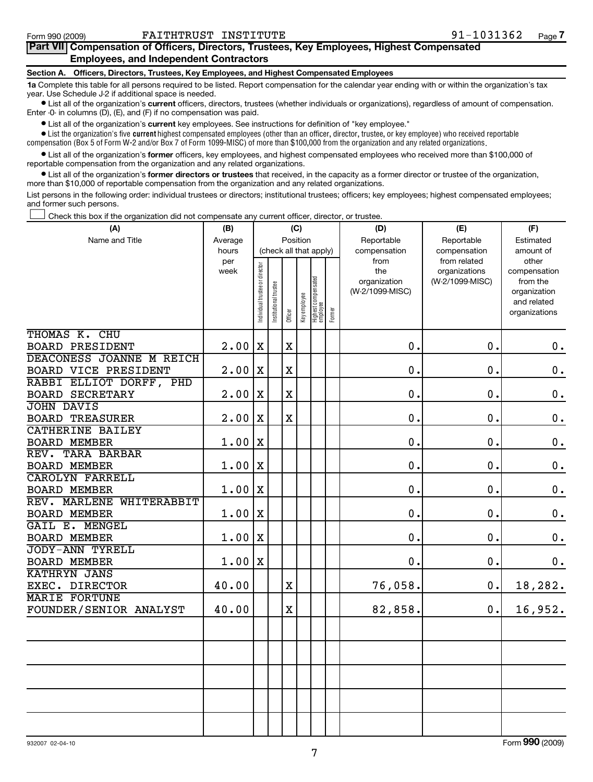## **Part VII Compensation of Officers, Directors, Trustees, Key Employees, Highest Compensated Employees, and Independent Contractors**

#### **Section A. Officers, Directors, Trustees, Key Employees, and Highest Compensated Employees**

**1a**  Complete this table for all persons required to be listed. Report compensation for the calendar year ending with or within the organization's tax year. Use Schedule J-2 if additional space is needed.

**•** List all of the organization's current officers, directors, trustees (whether individuals or organizations), regardless of amount of compensation. Enter -0- in columns (D), (E), and (F) if no compensation was paid.

**•** List all of the organization's current key employees. See instructions for definition of "key employee."

 $\bullet$  List the organization's five  $\tt current$  highest compensated employees (other than an officer, director, trustee, or key employee) who received reportable compensation (Box 5 of Form W-2 and/or Box 7 of Form 1099-MISC) of more than \$100,000 from the organization and any related organizations .

• List all of the organization's former officers, key employees, and highest compensated employees who received more than \$100,000 of reportable compensation from the organization and any related organizations.

**•** List all of the organization's former directors or trustees that received, in the capacity as a former director or trustee of the organization, more than \$10,000 of reportable compensation from the organization and any related organizations.

List persons in the following order: individual trustees or directors; institutional trustees; officers; key employees; highest compensated employees; and former such persons.

Check this box if the organization did not compensate any current officer, director, or trustee.  $\left\vert \cdot\right\vert$ 

| (A)                                              | (B)         | (C)                            |                        |             |              |                                           | (D)                                            | (E)                                              | (F)                                                                               |  |
|--------------------------------------------------|-------------|--------------------------------|------------------------|-------------|--------------|-------------------------------------------|------------------------------------------------|--------------------------------------------------|-----------------------------------------------------------------------------------|--|
| Name and Title                                   | Average     | Position                       |                        |             |              |                                           | Reportable                                     | Reportable                                       | Estimated                                                                         |  |
|                                                  | hours       |                                | (check all that apply) |             |              |                                           | compensation                                   | compensation                                     | amount of                                                                         |  |
|                                                  | per<br>week | Individual trustee or director | Institutional trustee  | Officer     | Key employee | Highest compensated<br>employee<br>Former | from<br>the<br>organization<br>(W-2/1099-MISC) | from related<br>organizations<br>(W-2/1099-MISC) | other<br>compensation<br>from the<br>organization<br>and related<br>organizations |  |
| THOMAS K. CHU                                    |             |                                |                        |             |              |                                           |                                                |                                                  |                                                                                   |  |
| <b>BOARD PRESIDENT</b>                           | 2.00        | $\mathbf X$                    |                        | $\mathbf X$ |              |                                           | 0.                                             | 0.                                               | $\mathbf 0$ .                                                                     |  |
| DEACONESS JOANNE M REICH<br>BOARD VICE PRESIDENT | 2.00        | X                              |                        | $\mathbf X$ |              |                                           | $\mathbf 0$ .                                  | $\mathbf 0$ .                                    | $\mathbf 0$ .                                                                     |  |
| RABBI ELLIOT DORFF, PHD                          |             |                                |                        |             |              |                                           |                                                |                                                  |                                                                                   |  |
| <b>BOARD SECRETARY</b>                           | 2.00        | $\mathbf X$                    |                        | $\rm X$     |              |                                           | 0.                                             | 0.                                               | $\mathbf 0$ .                                                                     |  |
| <b>JOHN DAVIS</b>                                |             |                                |                        |             |              |                                           |                                                |                                                  |                                                                                   |  |
| <b>BOARD TREASURER</b>                           | 2.00        | X                              |                        | X           |              |                                           | 0.                                             | 0.                                               | $\mathbf 0$ .                                                                     |  |
| <b>CATHERINE BAILEY</b>                          |             |                                |                        |             |              |                                           |                                                |                                                  |                                                                                   |  |
| <b>BOARD MEMBER</b>                              | 1.00        | X                              |                        |             |              |                                           | 0.                                             | $\mathbf 0$ .                                    | $\mathbf 0$ .                                                                     |  |
| REV. TARA BARBAR                                 |             |                                |                        |             |              |                                           |                                                |                                                  |                                                                                   |  |
| <b>BOARD MEMBER</b>                              | 1.00        | $\mathbf x$                    |                        |             |              |                                           | $\mathbf 0$ .                                  | 0.                                               | $\mathbf 0$ .                                                                     |  |
| <b>CAROLYN FARRELL</b>                           |             |                                |                        |             |              |                                           |                                                |                                                  |                                                                                   |  |
| <b>BOARD MEMBER</b>                              | 1.00        | $\mathbf x$                    |                        |             |              |                                           | 0.                                             | 0.                                               | $\mathbf 0$ .                                                                     |  |
| REV. MARLENE WHITERABBIT                         |             |                                |                        |             |              |                                           |                                                |                                                  |                                                                                   |  |
| <b>BOARD MEMBER</b>                              | 1.00        | $\mathbf x$                    |                        |             |              |                                           | 0.                                             | 0.                                               | $\mathbf 0$ .                                                                     |  |
| GAIL E. MENGEL                                   |             |                                |                        |             |              |                                           |                                                |                                                  |                                                                                   |  |
| <b>BOARD MEMBER</b>                              | 1.00        | X                              |                        |             |              |                                           | 0.                                             | 0.                                               | $\mathbf 0$ .                                                                     |  |
| <b>JODY-ANN TYRELL</b>                           |             |                                |                        |             |              |                                           |                                                |                                                  |                                                                                   |  |
| <b>BOARD MEMBER</b>                              | 1.00        | $\mathbf x$                    |                        |             |              |                                           | 0.                                             | 0.                                               | $\mathbf 0$ .                                                                     |  |
| <b>KATHRYN JANS</b>                              |             |                                |                        |             |              |                                           |                                                |                                                  |                                                                                   |  |
| EXEC. DIRECTOR<br><b>MARIE FORTUNE</b>           | 40.00       |                                |                        | $\mathbf X$ |              |                                           | 76,058.                                        | 0.                                               | 18,282.                                                                           |  |
| FOUNDER/SENIOR ANALYST                           | 40.00       |                                |                        | $\rm X$     |              |                                           | 82,858.                                        | 0.                                               | 16,952.                                                                           |  |
|                                                  |             |                                |                        |             |              |                                           |                                                |                                                  |                                                                                   |  |
|                                                  |             |                                |                        |             |              |                                           |                                                |                                                  |                                                                                   |  |
|                                                  |             |                                |                        |             |              |                                           |                                                |                                                  |                                                                                   |  |
|                                                  |             |                                |                        |             |              |                                           |                                                |                                                  |                                                                                   |  |

Form **990** (2009)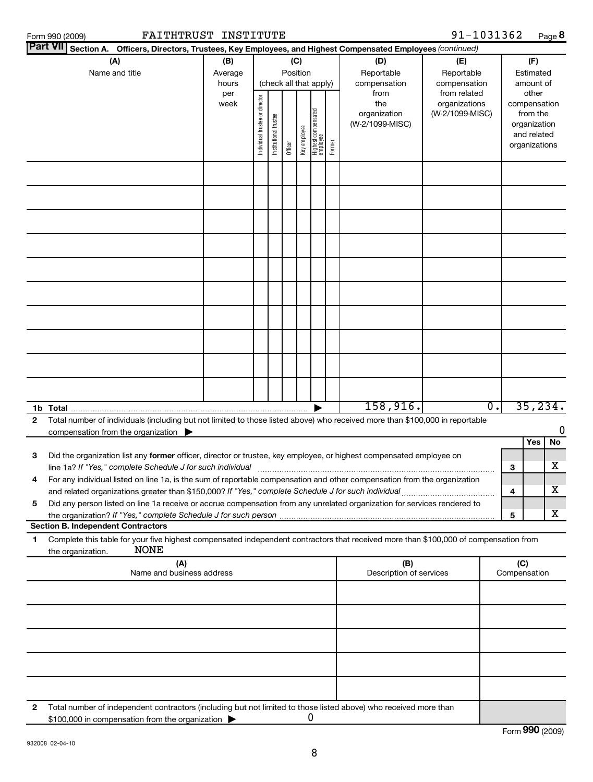| FAITHTRUST INSTITUTE<br>Form 990 (2009)                                                                                                                                                                  |                  |                                |                       |          |              |                                 |        |                            | 91-1031362                 |   | $Page$ 8                    |
|----------------------------------------------------------------------------------------------------------------------------------------------------------------------------------------------------------|------------------|--------------------------------|-----------------------|----------|--------------|---------------------------------|--------|----------------------------|----------------------------|---|-----------------------------|
| <b>Part VII</b><br>Section A. Officers, Directors, Trustees, Key Employees, and Highest Compensated Employees (continued)                                                                                |                  |                                |                       |          |              |                                 |        |                            |                            |   |                             |
| (A)                                                                                                                                                                                                      | (B)              |                                |                       | (C)      |              |                                 |        | (D)                        | (E)                        |   | (F)                         |
| Name and title                                                                                                                                                                                           | Average<br>hours |                                |                       | Position |              | (check all that apply)          |        | Reportable<br>compensation | Reportable<br>compensation |   | Estimated<br>amount of      |
|                                                                                                                                                                                                          | per              |                                |                       |          |              |                                 |        | from                       | from related               |   | other                       |
|                                                                                                                                                                                                          | week             |                                |                       |          |              |                                 |        | the                        | organizations              |   | compensation                |
|                                                                                                                                                                                                          |                  |                                |                       |          |              |                                 |        | organization               | (W-2/1099-MISC)            |   | from the                    |
|                                                                                                                                                                                                          |                  |                                |                       |          |              |                                 |        | (W-2/1099-MISC)            |                            |   | organization<br>and related |
|                                                                                                                                                                                                          |                  | Individual trustee or director | Institutional trustee | Officer  | Key employee | Highest compensated<br>employee | Former |                            |                            |   | organizations               |
|                                                                                                                                                                                                          |                  |                                |                       |          |              |                                 |        |                            |                            |   |                             |
|                                                                                                                                                                                                          |                  |                                |                       |          |              |                                 |        |                            |                            |   |                             |
|                                                                                                                                                                                                          |                  |                                |                       |          |              |                                 |        |                            |                            |   |                             |
|                                                                                                                                                                                                          |                  |                                |                       |          |              |                                 |        |                            |                            |   |                             |
|                                                                                                                                                                                                          |                  |                                |                       |          |              |                                 |        |                            |                            |   |                             |
|                                                                                                                                                                                                          |                  |                                |                       |          |              |                                 |        |                            |                            |   |                             |
|                                                                                                                                                                                                          |                  |                                |                       |          |              |                                 |        |                            |                            |   |                             |
|                                                                                                                                                                                                          |                  |                                |                       |          |              |                                 |        |                            |                            |   |                             |
|                                                                                                                                                                                                          |                  |                                |                       |          |              |                                 |        |                            |                            |   |                             |
|                                                                                                                                                                                                          |                  |                                |                       |          |              |                                 |        |                            |                            |   |                             |
|                                                                                                                                                                                                          |                  |                                |                       |          |              |                                 |        |                            |                            |   |                             |
|                                                                                                                                                                                                          |                  |                                |                       |          |              |                                 |        |                            |                            |   |                             |
|                                                                                                                                                                                                          |                  |                                |                       |          |              |                                 |        |                            |                            |   |                             |
| 1b Total $\mathbf{r}$                                                                                                                                                                                    |                  |                                |                       |          |              |                                 |        | 158,916.                   | $\overline{0}$ .           |   | 35, 234.                    |
| Total number of individuals (including but not limited to those listed above) who received more than \$100,000 in reportable<br>$\mathbf{2}$<br>compensation from the organization $\blacktriangleright$ |                  |                                |                       |          |              |                                 |        |                            |                            |   |                             |
|                                                                                                                                                                                                          |                  |                                |                       |          |              |                                 |        |                            |                            |   | Yes<br>No                   |
| 3<br>Did the organization list any former officer, director or trustee, key employee, or highest compensated employee on                                                                                 |                  |                                |                       |          |              |                                 |        |                            |                            |   |                             |
| line 1a? If "Yes," complete Schedule J for such individual                                                                                                                                               |                  |                                |                       |          |              |                                 |        |                            |                            | 3 | х                           |
| For any individual listed on line 1a, is the sum of reportable compensation and other compensation from the organization<br>4                                                                            |                  |                                |                       |          |              |                                 |        |                            |                            |   |                             |
| and related organizations greater than \$150,000? If "Yes," complete Schedule J for such individual                                                                                                      |                  |                                |                       |          |              |                                 |        |                            |                            | 4 | x                           |
| 5<br>Did any person listed on line 1a receive or accrue compensation from any unrelated organization for services rendered to                                                                            |                  |                                |                       |          |              |                                 |        |                            |                            |   | X                           |
| <b>Section B. Independent Contractors</b>                                                                                                                                                                |                  |                                |                       |          |              |                                 |        |                            |                            | 5 |                             |
| Complete this table for your five highest compensated independent contractors that received more than \$100,000 of compensation from<br>1<br><b>NONE</b><br>the organization.                            |                  |                                |                       |          |              |                                 |        |                            |                            |   |                             |
| (A)                                                                                                                                                                                                      |                  |                                |                       |          |              |                                 |        | (B)                        |                            |   | (C)                         |
| Name and business address                                                                                                                                                                                |                  |                                |                       |          |              |                                 |        | Description of services    |                            |   | Compensation                |
|                                                                                                                                                                                                          |                  |                                |                       |          |              |                                 |        |                            |                            |   |                             |
|                                                                                                                                                                                                          |                  |                                |                       |          |              |                                 |        |                            |                            |   |                             |
|                                                                                                                                                                                                          |                  |                                |                       |          |              |                                 |        |                            |                            |   |                             |

**2** Total number of independent contractors (including but not limited to those listed above) who received more than \$100,000 in compensation from the organization  $\blacktriangleright$ 0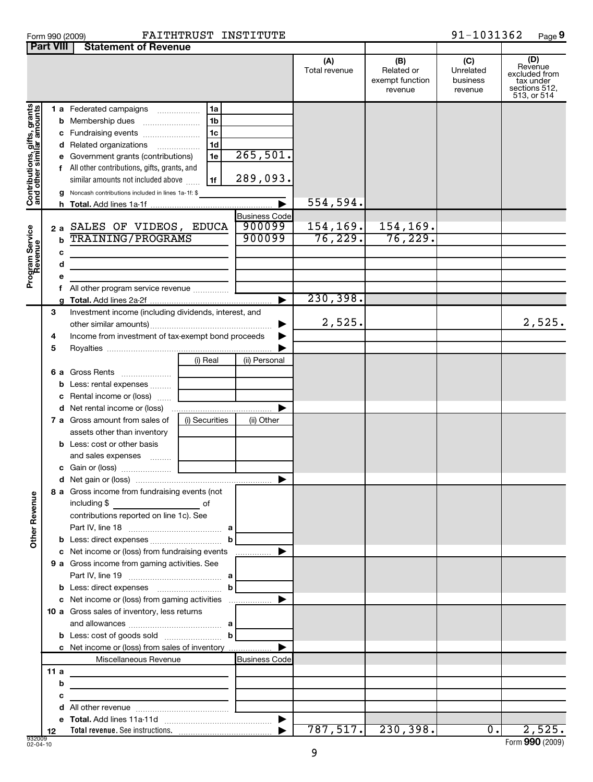|  | Form 990 (2009) |  |
|--|-----------------|--|
|  |                 |  |

## Form 990 (2009) **FAITHTRUST INSTITUTE** 91-1031362 Page

**9**

|                                                             | <b>Part VIII</b> | <b>Statement of Revenue</b>                                                                                                                                                                                                                                                                  |                                                                      |                                               |                      |                                                 |                                         |                                                                              |
|-------------------------------------------------------------|------------------|----------------------------------------------------------------------------------------------------------------------------------------------------------------------------------------------------------------------------------------------------------------------------------------------|----------------------------------------------------------------------|-----------------------------------------------|----------------------|-------------------------------------------------|-----------------------------------------|------------------------------------------------------------------------------|
|                                                             |                  |                                                                                                                                                                                                                                                                                              |                                                                      |                                               | (A)<br>Total revenue | (B)<br>Related or<br>exempt function<br>revenue | (C)<br>Unrelated<br>business<br>revenue | (D)<br>Revenue<br>excluded from<br>tax under<br>sections 512,<br>513, or 514 |
| Contributions, gifts, grants<br>  and other similar amounts | е<br>g           | 1 a Federated campaigns<br><b>b</b> Membership dues<br>c Fundraising events<br>d Related organizations<br>.<br>Government grants (contributions)<br>f All other contributions, gifts, grants, and<br>similar amounts not included above<br>Noncash contributions included in lines 1a-1f: \$ | 1a<br>1 <sub>b</sub><br>1 <sub>c</sub><br>1 <sub>d</sub><br>1e<br>1f | 265,501.<br>289,093.<br>$\blacktriangleright$ | 554,594.             |                                                 |                                         |                                                                              |
|                                                             |                  |                                                                                                                                                                                                                                                                                              |                                                                      |                                               |                      |                                                 |                                         |                                                                              |
| Program Service<br>Revenue                                  | b<br>c           | 2 a SALES OF VIDEOS, EDUCA<br><b>TRAINING/PROGRAMS</b>                                                                                                                                                                                                                                       |                                                                      | <b>Business Code</b><br>900099<br>900099      | 154, 169.<br>76,229. | 154,169.<br>76, 229.                            |                                         |                                                                              |
|                                                             | d                |                                                                                                                                                                                                                                                                                              |                                                                      |                                               |                      |                                                 |                                         |                                                                              |
|                                                             | е                |                                                                                                                                                                                                                                                                                              |                                                                      |                                               |                      |                                                 |                                         |                                                                              |
|                                                             | f.               | All other program service revenue                                                                                                                                                                                                                                                            |                                                                      |                                               |                      |                                                 |                                         |                                                                              |
|                                                             |                  |                                                                                                                                                                                                                                                                                              |                                                                      | ►                                             | 230,398.             |                                                 |                                         |                                                                              |
|                                                             | 3                | Investment income (including dividends, interest, and                                                                                                                                                                                                                                        |                                                                      |                                               | 2,525.               |                                                 |                                         | 2,525.                                                                       |
|                                                             | 4                | Income from investment of tax-exempt bond proceeds                                                                                                                                                                                                                                           |                                                                      |                                               |                      |                                                 |                                         |                                                                              |
|                                                             | 5                |                                                                                                                                                                                                                                                                                              |                                                                      |                                               |                      |                                                 |                                         |                                                                              |
|                                                             |                  |                                                                                                                                                                                                                                                                                              | (i) Real                                                             | (ii) Personal                                 |                      |                                                 |                                         |                                                                              |
|                                                             |                  | 6 a Gross Rents                                                                                                                                                                                                                                                                              |                                                                      |                                               |                      |                                                 |                                         |                                                                              |
|                                                             |                  | <b>b</b> Less: rental expenses                                                                                                                                                                                                                                                               |                                                                      |                                               |                      |                                                 |                                         |                                                                              |
|                                                             |                  | c Rental income or (loss)                                                                                                                                                                                                                                                                    |                                                                      |                                               |                      |                                                 |                                         |                                                                              |
|                                                             |                  |                                                                                                                                                                                                                                                                                              |                                                                      |                                               |                      |                                                 |                                         |                                                                              |
|                                                             |                  | <b>7 a</b> Gross amount from sales of                                                                                                                                                                                                                                                        | (i) Securities                                                       | (ii) Other                                    |                      |                                                 |                                         |                                                                              |
|                                                             |                  | assets other than inventory                                                                                                                                                                                                                                                                  |                                                                      |                                               |                      |                                                 |                                         |                                                                              |
|                                                             |                  |                                                                                                                                                                                                                                                                                              |                                                                      |                                               |                      |                                                 |                                         |                                                                              |
|                                                             |                  | <b>b</b> Less: cost or other basis                                                                                                                                                                                                                                                           |                                                                      |                                               |                      |                                                 |                                         |                                                                              |
|                                                             |                  | and sales expenses                                                                                                                                                                                                                                                                           |                                                                      |                                               |                      |                                                 |                                         |                                                                              |
|                                                             |                  |                                                                                                                                                                                                                                                                                              |                                                                      |                                               |                      |                                                 |                                         |                                                                              |
|                                                             |                  |                                                                                                                                                                                                                                                                                              |                                                                      |                                               |                      |                                                 |                                         |                                                                              |
| <b>Other Revenue</b>                                        |                  | 8 a Gross income from fundraising events (not<br>including \$<br>contributions reported on line 1c). See                                                                                                                                                                                     |                                                                      |                                               |                      |                                                 |                                         |                                                                              |
|                                                             |                  |                                                                                                                                                                                                                                                                                              |                                                                      |                                               |                      |                                                 |                                         |                                                                              |
|                                                             |                  |                                                                                                                                                                                                                                                                                              |                                                                      |                                               |                      |                                                 |                                         |                                                                              |
|                                                             |                  |                                                                                                                                                                                                                                                                                              |                                                                      |                                               |                      |                                                 |                                         |                                                                              |
|                                                             |                  | c Net income or (loss) from fundraising events                                                                                                                                                                                                                                               |                                                                      |                                               |                      |                                                 |                                         |                                                                              |
|                                                             |                  | 9 a Gross income from gaming activities. See                                                                                                                                                                                                                                                 |                                                                      |                                               |                      |                                                 |                                         |                                                                              |
|                                                             |                  |                                                                                                                                                                                                                                                                                              |                                                                      |                                               |                      |                                                 |                                         |                                                                              |
|                                                             |                  |                                                                                                                                                                                                                                                                                              |                                                                      |                                               |                      |                                                 |                                         |                                                                              |
|                                                             |                  |                                                                                                                                                                                                                                                                                              |                                                                      |                                               |                      |                                                 |                                         |                                                                              |
|                                                             |                  | 10 a Gross sales of inventory, less returns                                                                                                                                                                                                                                                  |                                                                      |                                               |                      |                                                 |                                         |                                                                              |
|                                                             |                  |                                                                                                                                                                                                                                                                                              |                                                                      |                                               |                      |                                                 |                                         |                                                                              |
|                                                             |                  |                                                                                                                                                                                                                                                                                              |                                                                      |                                               |                      |                                                 |                                         |                                                                              |
|                                                             |                  | c Net income or (loss) from sales of inventory                                                                                                                                                                                                                                               |                                                                      |                                               |                      |                                                 |                                         |                                                                              |
|                                                             |                  | Miscellaneous Revenue                                                                                                                                                                                                                                                                        |                                                                      | <b>Business Code</b>                          |                      |                                                 |                                         |                                                                              |
|                                                             | 11 a             | the control of the control of the control of the control of the control of                                                                                                                                                                                                                   |                                                                      |                                               |                      |                                                 |                                         |                                                                              |
|                                                             | b                | <u> 1989 - Johann Stein, mars an deutscher Stein († 1958)</u>                                                                                                                                                                                                                                |                                                                      |                                               |                      |                                                 |                                         |                                                                              |
|                                                             | с                | the control of the control of the control of the control of the control of                                                                                                                                                                                                                   |                                                                      |                                               |                      |                                                 |                                         |                                                                              |
|                                                             |                  |                                                                                                                                                                                                                                                                                              |                                                                      |                                               |                      |                                                 |                                         |                                                                              |
|                                                             |                  |                                                                                                                                                                                                                                                                                              |                                                                      |                                               |                      |                                                 |                                         |                                                                              |
|                                                             | 12               |                                                                                                                                                                                                                                                                                              |                                                                      |                                               |                      | $787, 517.$ 230, 398.                           | $\overline{0}$ .                        | 2,525.                                                                       |

Form (2009) **990**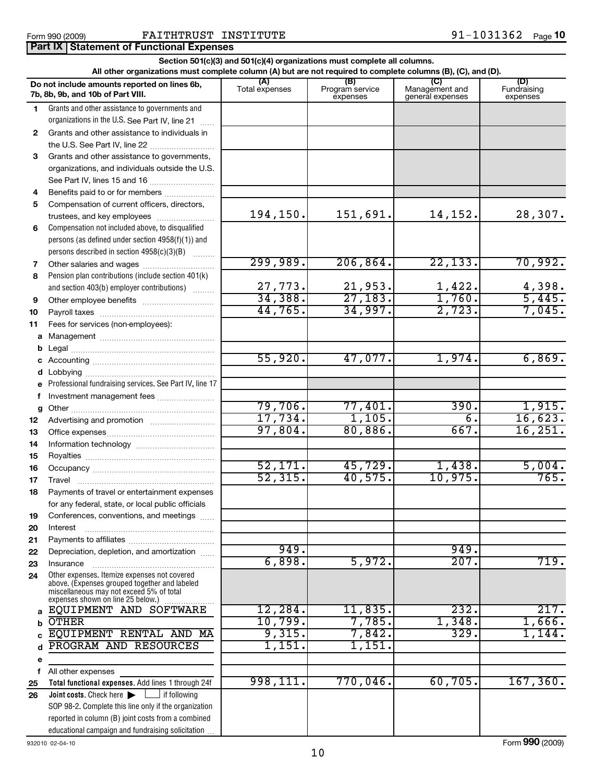|              | Section 501(c)(3) and 501(c)(4) organizations must complete all columns.<br>All other organizations must complete column (A) but are not required to complete columns (B), (C), and (D). |                           |                                    |                                           |                                |  |  |  |  |
|--------------|------------------------------------------------------------------------------------------------------------------------------------------------------------------------------------------|---------------------------|------------------------------------|-------------------------------------------|--------------------------------|--|--|--|--|
|              | Do not include amounts reported on lines 6b,<br>7b, 8b, 9b, and 10b of Part VIII.                                                                                                        | (A)<br>Total expenses     | (B)<br>Program service<br>expenses | (C)<br>Management and<br>general expenses | (D)<br>Fundraising<br>expenses |  |  |  |  |
| 1.           | Grants and other assistance to governments and                                                                                                                                           |                           |                                    |                                           |                                |  |  |  |  |
|              | organizations in the U.S. See Part IV, line 21                                                                                                                                           |                           |                                    |                                           |                                |  |  |  |  |
| $\mathbf{2}$ | Grants and other assistance to individuals in                                                                                                                                            |                           |                                    |                                           |                                |  |  |  |  |
|              | the U.S. See Part IV, line 22                                                                                                                                                            |                           |                                    |                                           |                                |  |  |  |  |
| 3            | Grants and other assistance to governments,                                                                                                                                              |                           |                                    |                                           |                                |  |  |  |  |
|              | organizations, and individuals outside the U.S.                                                                                                                                          |                           |                                    |                                           |                                |  |  |  |  |
|              | See Part IV, lines 15 and 16                                                                                                                                                             |                           |                                    |                                           |                                |  |  |  |  |
| 4            | Benefits paid to or for members                                                                                                                                                          |                           |                                    |                                           |                                |  |  |  |  |
| 5            | Compensation of current officers, directors,                                                                                                                                             |                           |                                    |                                           |                                |  |  |  |  |
|              | trustees, and key employees                                                                                                                                                              | 194,150.                  | 151,691.                           | 14,152.                                   | 28,307.                        |  |  |  |  |
| 6            | Compensation not included above, to disqualified                                                                                                                                         |                           |                                    |                                           |                                |  |  |  |  |
|              | persons (as defined under section 4958(f)(1)) and                                                                                                                                        |                           |                                    |                                           |                                |  |  |  |  |
|              | persons described in section 4958(c)(3)(B)                                                                                                                                               | 299,989.                  | 206, 864.                          | 22, 133.                                  | 70,992.                        |  |  |  |  |
| 7            | Other salaries and wages<br>Pension plan contributions (include section 401(k)                                                                                                           |                           |                                    |                                           |                                |  |  |  |  |
| 8            | and section 403(b) employer contributions)                                                                                                                                               |                           |                                    | 1,422.                                    | 4,398.                         |  |  |  |  |
| 9            |                                                                                                                                                                                          | $\frac{27,773}{34,388}$ . | $\frac{21,953}{27,183}$            | 1,760.                                    | 5,445.                         |  |  |  |  |
| 10           |                                                                                                                                                                                          | 44,765.                   | 34,997.                            | 2,723.                                    | 7,045.                         |  |  |  |  |
| 11           | Fees for services (non-employees):                                                                                                                                                       |                           |                                    |                                           |                                |  |  |  |  |
|              |                                                                                                                                                                                          |                           |                                    |                                           |                                |  |  |  |  |
| b            |                                                                                                                                                                                          |                           |                                    |                                           |                                |  |  |  |  |
|              |                                                                                                                                                                                          | 55,920.                   | 47,077.                            | 1,974.                                    | 6,869.                         |  |  |  |  |
| d            |                                                                                                                                                                                          |                           |                                    |                                           |                                |  |  |  |  |
| e            | Professional fundraising services. See Part IV, line 17                                                                                                                                  |                           |                                    |                                           |                                |  |  |  |  |
| f            | Investment management fees                                                                                                                                                               |                           |                                    |                                           |                                |  |  |  |  |
| g            |                                                                                                                                                                                          | 79,706.                   | 77,401.                            | 390.                                      | 1,915.                         |  |  |  |  |
| 12           |                                                                                                                                                                                          | 17,734.                   | 1,105.                             | $\overline{6}$ .                          | 16,623.                        |  |  |  |  |
| 13           |                                                                                                                                                                                          | 97,804.                   | 80,886.                            | 667.                                      | 16, 251.                       |  |  |  |  |
| 14           |                                                                                                                                                                                          |                           |                                    |                                           |                                |  |  |  |  |
| 15           |                                                                                                                                                                                          |                           |                                    |                                           |                                |  |  |  |  |
| 16           |                                                                                                                                                                                          | 52,171.                   | 45,729.                            | 1,438.                                    | 5,004.                         |  |  |  |  |
| 17           | Travel                                                                                                                                                                                   | 52, 315.                  | 40,575.                            | 10,975.                                   | 765.                           |  |  |  |  |
| 18           | Payments of travel or entertainment expenses                                                                                                                                             |                           |                                    |                                           |                                |  |  |  |  |
|              | for any federal, state, or local public officials                                                                                                                                        |                           |                                    |                                           |                                |  |  |  |  |
| 19           | Conferences, conventions, and meetings                                                                                                                                                   |                           |                                    |                                           |                                |  |  |  |  |
| 20           | Interest                                                                                                                                                                                 |                           |                                    |                                           |                                |  |  |  |  |
| 21           |                                                                                                                                                                                          | 949.                      |                                    | 949.                                      |                                |  |  |  |  |
| 22           | Depreciation, depletion, and amortization                                                                                                                                                | 6,898.                    | 5,972.                             | 207.                                      | 719.                           |  |  |  |  |
| 23<br>24     | Insurance<br>Other expenses. Itemize expenses not covered                                                                                                                                |                           |                                    |                                           |                                |  |  |  |  |
|              | above. (Expenses grouped together and labeled<br>miscellaneous may not exceed 5% of total<br>expenses shown on line 25 below.)                                                           |                           |                                    |                                           |                                |  |  |  |  |
| a            | EQUIPMENT AND SOFTWARE                                                                                                                                                                   | 12,284.                   | 11,835.                            | 232.                                      | 217.                           |  |  |  |  |
| b            | <b>OTHER</b>                                                                                                                                                                             | 10,799.                   | 7,785.                             | 1,348.                                    | 1,666.                         |  |  |  |  |
|              | EQUIPMENT RENTAL AND MA                                                                                                                                                                  | 9,315.                    | 7,842.                             | 329.                                      | 1,144.                         |  |  |  |  |
|              | PROGRAM AND RESOURCES                                                                                                                                                                    | 1,151.                    | 1,151                              |                                           |                                |  |  |  |  |
| е            |                                                                                                                                                                                          |                           |                                    |                                           |                                |  |  |  |  |
| f            | All other expenses                                                                                                                                                                       |                           |                                    |                                           |                                |  |  |  |  |
| 25           | Total functional expenses. Add lines 1 through 24f                                                                                                                                       | 998,111.                  | 770,046.                           | 60,705.                                   | 167, 360.                      |  |  |  |  |
| 26           | Joint costs. Check here<br>f following                                                                                                                                                   |                           |                                    |                                           |                                |  |  |  |  |
|              | SOP 98-2. Complete this line only if the organization                                                                                                                                    |                           |                                    |                                           |                                |  |  |  |  |
|              | reported in column (B) joint costs from a combined                                                                                                                                       |                           |                                    |                                           |                                |  |  |  |  |
|              | educational campaign and fundraising solicitation                                                                                                                                        |                           |                                    |                                           |                                |  |  |  |  |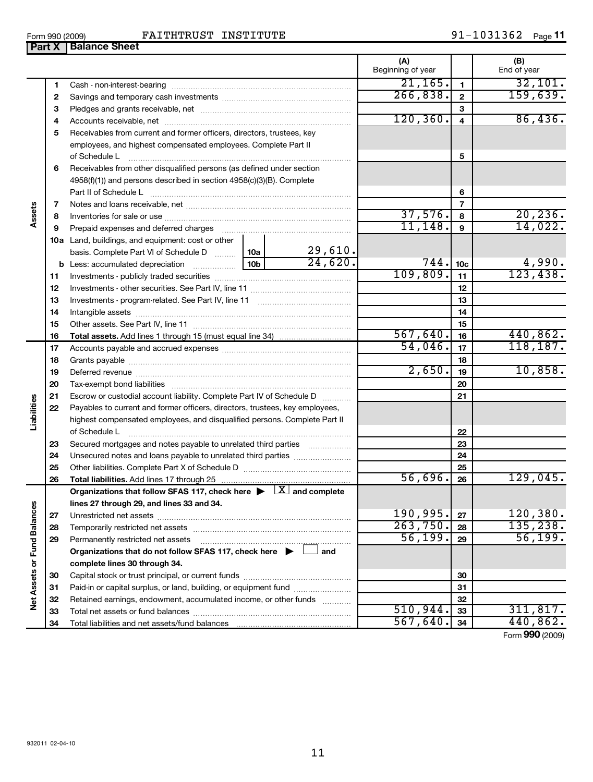| FAITHTRUST<br>Form 990 (2009) | INSTITUTE | 1031362<br>91– | Page $1^{\prime}$ |
|-------------------------------|-----------|----------------|-------------------|
|-------------------------------|-----------|----------------|-------------------|

|                      | Part X | <b>Balance Sheet</b>                                                                                                                                                                                                           |          |                |                          |                 |                    |
|----------------------|--------|--------------------------------------------------------------------------------------------------------------------------------------------------------------------------------------------------------------------------------|----------|----------------|--------------------------|-----------------|--------------------|
|                      |        |                                                                                                                                                                                                                                |          |                | (A)<br>Beginning of year |                 | (B)<br>End of year |
|                      | 1      |                                                                                                                                                                                                                                |          |                | $\overline{21,165}$ .    | 1               | 32,101.            |
|                      | 2      |                                                                                                                                                                                                                                | 266,838. | $\overline{2}$ | 159,639.                 |                 |                    |
|                      | 3      |                                                                                                                                                                                                                                |          |                | 3                        |                 |                    |
|                      | 4      |                                                                                                                                                                                                                                |          |                | 120, 360.                | 4               | 86,436.            |
|                      | 5      | Receivables from current and former officers, directors, trustees, key                                                                                                                                                         |          |                |                          |                 |                    |
|                      |        | employees, and highest compensated employees. Complete Part II                                                                                                                                                                 |          |                |                          |                 |                    |
|                      |        | of Schedule L                                                                                                                                                                                                                  |          |                |                          | 5               |                    |
|                      | 6      | Receivables from other disqualified persons (as defined under section                                                                                                                                                          |          |                |                          |                 |                    |
|                      |        | 4958(f)(1)) and persons described in section 4958(c)(3)(B). Complete                                                                                                                                                           |          |                |                          |                 |                    |
|                      |        |                                                                                                                                                                                                                                |          |                |                          | 6               |                    |
|                      | 7      |                                                                                                                                                                                                                                |          |                |                          | 7               |                    |
| Assets               | 8      |                                                                                                                                                                                                                                |          |                | 37,576.                  | 8               | 20, 236.           |
|                      | 9      |                                                                                                                                                                                                                                |          |                | 11, 148.                 | 9               | 14,022.            |
|                      |        | 10a Land, buildings, and equipment: cost or other                                                                                                                                                                              |          |                |                          |                 |                    |
|                      |        | basis. Complete Part VI of Schedule D  10a                                                                                                                                                                                     |          | 29,610.        |                          |                 |                    |
|                      |        |                                                                                                                                                                                                                                |          | 24,620.        | 744.                     | 10 <sub>c</sub> | 4,990.             |
|                      | 11     |                                                                                                                                                                                                                                | 109,809. | 11             | 123,438.                 |                 |                    |
|                      | 12     |                                                                                                                                                                                                                                |          |                | 12                       |                 |                    |
|                      | 13     |                                                                                                                                                                                                                                |          | 13             |                          |                 |                    |
|                      | 14     |                                                                                                                                                                                                                                |          |                | 14                       |                 |                    |
|                      | 15     |                                                                                                                                                                                                                                |          |                | 15                       |                 |                    |
|                      | 16     |                                                                                                                                                                                                                                |          |                | 567,640.                 | 16              | 440,862.           |
|                      | 17     |                                                                                                                                                                                                                                |          |                | 54,046.                  | 17              | 118, 187.          |
|                      | 18     |                                                                                                                                                                                                                                |          |                | 18                       |                 |                    |
|                      | 19     | Deferred revenue manual contract and contract and contract and contract and contract and contract and contract and contract and contract and contract and contract and contract and contract and contract and contract and con |          |                | 2,650.                   | 19              | 10,858.            |
|                      | 20     |                                                                                                                                                                                                                                |          |                |                          | 20              |                    |
|                      | 21     | Escrow or custodial account liability. Complete Part IV of Schedule D                                                                                                                                                          |          |                |                          | 21              |                    |
| Liabilities          | 22     | Payables to current and former officers, directors, trustees, key employees,                                                                                                                                                   |          |                |                          |                 |                    |
|                      |        | highest compensated employees, and disqualified persons. Complete Part II                                                                                                                                                      |          |                |                          |                 |                    |
|                      |        | of Schedule L                                                                                                                                                                                                                  |          |                |                          | 22              |                    |
|                      | 23     | Secured mortgages and notes payable to unrelated third parties                                                                                                                                                                 |          |                |                          | 23              |                    |
|                      | 24     | Unsecured notes and loans payable to unrelated third parties                                                                                                                                                                   |          |                |                          | 24              |                    |
|                      | 25     | Other liabilities. Complete Part X of Schedule D [11] [11] [12] [12] [13] Other liabilities. Complete Part X of Schedule D                                                                                                     |          |                |                          | 25              |                    |
|                      | 26     |                                                                                                                                                                                                                                |          |                | 56,696.                  | 26              | 129,045.           |
|                      |        | Organizations that follow SFAS 117, check here $\blacktriangleright \Box X$ and complete                                                                                                                                       |          |                |                          |                 |                    |
|                      |        | lines 27 through 29, and lines 33 and 34.                                                                                                                                                                                      |          |                |                          |                 |                    |
|                      | 27     |                                                                                                                                                                                                                                |          |                | 190,995.                 | 27              | 120, 380.          |
|                      | 28     |                                                                                                                                                                                                                                |          |                | 263,750.                 | 28              | 135,238.           |
| <b>Fund Balances</b> | 29     | Permanently restricted net assets                                                                                                                                                                                              |          |                | 56, 199.                 | 29              | 56, 199.           |
|                      |        | Organizations that do not follow SFAS 117, check here $\blacktriangleright$                                                                                                                                                    |          | and            |                          |                 |                    |
|                      |        | complete lines 30 through 34.                                                                                                                                                                                                  |          |                |                          |                 |                    |
|                      | 30     |                                                                                                                                                                                                                                |          |                |                          | 30              |                    |
|                      | 31     | Paid-in or capital surplus, or land, building, or equipment fund                                                                                                                                                               |          |                |                          | 31              |                    |
| <b>Net Assets or</b> | 32     | Retained earnings, endowment, accumulated income, or other funds                                                                                                                                                               |          |                |                          | 32              |                    |
|                      | 33     |                                                                                                                                                                                                                                |          |                | 510, 944.                | 33              | 311,817.           |
|                      | 34     |                                                                                                                                                                                                                                |          |                | 567,640.                 | 34              | 440,862.           |

11

Form (2009) **990**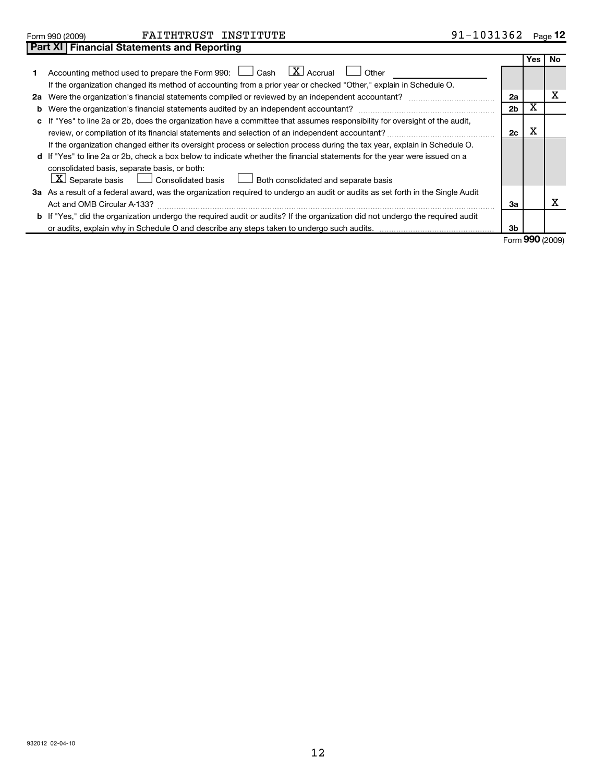| 932012 02-04-10 |  |
|-----------------|--|
|-----------------|--|

| Form 990 (2009) | FAITHTRUST | INSTITUTE | 1031362<br>. n. 1 | $\overline{\phantom{0}}$<br>Page |
|-----------------|------------|-----------|-------------------|----------------------------------|
|                 |            |           |                   |                                  |

| 91-1031362<br>Page $12$ |  |  |
|-------------------------|--|--|
|-------------------------|--|--|

| <b>No</b><br>Yes<br>Accounting method used to prepare the Form 990: $\Box$ Cash $\Box X$ Accrual<br>Other<br>1<br>If the organization changed its method of accounting from a prior year or checked "Other," explain in Schedule O.<br>х<br>2a Were the organization's financial statements compiled or reviewed by an independent accountant?<br>2a<br>х<br>2 <sub>b</sub><br>b<br>c If "Yes" to line 2a or 2b, does the organization have a committee that assumes responsibility for oversight of the audit,<br>х<br>2c<br>review, or compilation of its financial statements and selection of an independent accountant?<br>If the organization changed either its oversight process or selection process during the tax year, explain in Schedule O.<br>d If "Yes" to line 2a or 2b, check a box below to indicate whether the financial statements for the year were issued on a<br>consolidated basis, separate basis, or both:<br>$\lfloor \underline{x} \rfloor$ Separate basis $\lfloor \underline{\ldots} \rfloor$ Consolidated basis<br>Both consolidated and separate basis<br>3a As a result of a federal award, was the organization required to undergo an audit or audits as set forth in the Single Audit<br>х<br>Act and OMB Circular A-133?<br>За<br><b>b</b> If "Yes," did the organization undergo the required audit or audits? If the organization did not undergo the required audit<br>3b |  |  |  |
|---------------------------------------------------------------------------------------------------------------------------------------------------------------------------------------------------------------------------------------------------------------------------------------------------------------------------------------------------------------------------------------------------------------------------------------------------------------------------------------------------------------------------------------------------------------------------------------------------------------------------------------------------------------------------------------------------------------------------------------------------------------------------------------------------------------------------------------------------------------------------------------------------------------------------------------------------------------------------------------------------------------------------------------------------------------------------------------------------------------------------------------------------------------------------------------------------------------------------------------------------------------------------------------------------------------------------------------------------------------------------------------------------------------------|--|--|--|
|                                                                                                                                                                                                                                                                                                                                                                                                                                                                                                                                                                                                                                                                                                                                                                                                                                                                                                                                                                                                                                                                                                                                                                                                                                                                                                                                                                                                                     |  |  |  |
|                                                                                                                                                                                                                                                                                                                                                                                                                                                                                                                                                                                                                                                                                                                                                                                                                                                                                                                                                                                                                                                                                                                                                                                                                                                                                                                                                                                                                     |  |  |  |
|                                                                                                                                                                                                                                                                                                                                                                                                                                                                                                                                                                                                                                                                                                                                                                                                                                                                                                                                                                                                                                                                                                                                                                                                                                                                                                                                                                                                                     |  |  |  |
|                                                                                                                                                                                                                                                                                                                                                                                                                                                                                                                                                                                                                                                                                                                                                                                                                                                                                                                                                                                                                                                                                                                                                                                                                                                                                                                                                                                                                     |  |  |  |
|                                                                                                                                                                                                                                                                                                                                                                                                                                                                                                                                                                                                                                                                                                                                                                                                                                                                                                                                                                                                                                                                                                                                                                                                                                                                                                                                                                                                                     |  |  |  |
|                                                                                                                                                                                                                                                                                                                                                                                                                                                                                                                                                                                                                                                                                                                                                                                                                                                                                                                                                                                                                                                                                                                                                                                                                                                                                                                                                                                                                     |  |  |  |
|                                                                                                                                                                                                                                                                                                                                                                                                                                                                                                                                                                                                                                                                                                                                                                                                                                                                                                                                                                                                                                                                                                                                                                                                                                                                                                                                                                                                                     |  |  |  |
|                                                                                                                                                                                                                                                                                                                                                                                                                                                                                                                                                                                                                                                                                                                                                                                                                                                                                                                                                                                                                                                                                                                                                                                                                                                                                                                                                                                                                     |  |  |  |
|                                                                                                                                                                                                                                                                                                                                                                                                                                                                                                                                                                                                                                                                                                                                                                                                                                                                                                                                                                                                                                                                                                                                                                                                                                                                                                                                                                                                                     |  |  |  |
|                                                                                                                                                                                                                                                                                                                                                                                                                                                                                                                                                                                                                                                                                                                                                                                                                                                                                                                                                                                                                                                                                                                                                                                                                                                                                                                                                                                                                     |  |  |  |
|                                                                                                                                                                                                                                                                                                                                                                                                                                                                                                                                                                                                                                                                                                                                                                                                                                                                                                                                                                                                                                                                                                                                                                                                                                                                                                                                                                                                                     |  |  |  |
|                                                                                                                                                                                                                                                                                                                                                                                                                                                                                                                                                                                                                                                                                                                                                                                                                                                                                                                                                                                                                                                                                                                                                                                                                                                                                                                                                                                                                     |  |  |  |
|                                                                                                                                                                                                                                                                                                                                                                                                                                                                                                                                                                                                                                                                                                                                                                                                                                                                                                                                                                                                                                                                                                                                                                                                                                                                                                                                                                                                                     |  |  |  |
|                                                                                                                                                                                                                                                                                                                                                                                                                                                                                                                                                                                                                                                                                                                                                                                                                                                                                                                                                                                                                                                                                                                                                                                                                                                                                                                                                                                                                     |  |  |  |
|                                                                                                                                                                                                                                                                                                                                                                                                                                                                                                                                                                                                                                                                                                                                                                                                                                                                                                                                                                                                                                                                                                                                                                                                                                                                                                                                                                                                                     |  |  |  |

Form **990** (2009)

| <b>Earm 990 (2009</b> |  |  |
|-----------------------|--|--|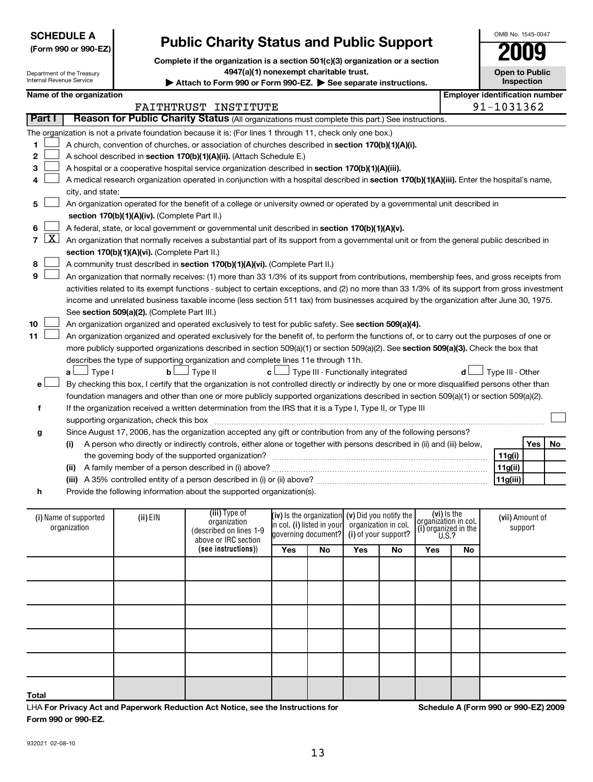**Form 990 or 990-EZ.**

**Total**

|              | Part I    |                                                                                                   |                                               | Reason for Public Charity Status (All organizations must complete this part.) See instructions.                                               |                                                                                                   |                                                   |     |                      |                                     |     |                  |                 |    |
|--------------|-----------|---------------------------------------------------------------------------------------------------|-----------------------------------------------|-----------------------------------------------------------------------------------------------------------------------------------------------|---------------------------------------------------------------------------------------------------|---------------------------------------------------|-----|----------------------|-------------------------------------|-----|------------------|-----------------|----|
|              |           |                                                                                                   |                                               | The organization is not a private foundation because it is: (For lines 1 through 11, check only one box.)                                     |                                                                                                   |                                                   |     |                      |                                     |     |                  |                 |    |
| 1            |           |                                                                                                   |                                               | A church, convention of churches, or association of churches described in section 170(b)(1)(A)(i).                                            |                                                                                                   |                                                   |     |                      |                                     |     |                  |                 |    |
| 2            |           | A school described in section 170(b)(1)(A)(ii). (Attach Schedule E.)                              |                                               |                                                                                                                                               |                                                                                                   |                                                   |     |                      |                                     |     |                  |                 |    |
| З            |           | A hospital or a cooperative hospital service organization described in section 170(b)(1)(A)(iii). |                                               |                                                                                                                                               |                                                                                                   |                                                   |     |                      |                                     |     |                  |                 |    |
| 4            |           |                                                                                                   |                                               | A medical research organization operated in conjunction with a hospital described in section 170(b)(1)(A)(iii). Enter the hospital's name,    |                                                                                                   |                                                   |     |                      |                                     |     |                  |                 |    |
|              |           | city, and state:                                                                                  |                                               |                                                                                                                                               |                                                                                                   |                                                   |     |                      |                                     |     |                  |                 |    |
| 5            |           |                                                                                                   |                                               | An organization operated for the benefit of a college or university owned or operated by a governmental unit described in                     |                                                                                                   |                                                   |     |                      |                                     |     |                  |                 |    |
|              |           |                                                                                                   | section 170(b)(1)(A)(iv). (Complete Part II.) |                                                                                                                                               |                                                                                                   |                                                   |     |                      |                                     |     |                  |                 |    |
| 6            |           |                                                                                                   |                                               | A federal, state, or local government or governmental unit described in section 170(b)(1)(A)(v).                                              |                                                                                                   |                                                   |     |                      |                                     |     |                  |                 |    |
| $\mathbf{7}$ | <u>x </u> |                                                                                                   |                                               | An organization that normally receives a substantial part of its support from a governmental unit or from the general public described in     |                                                                                                   |                                                   |     |                      |                                     |     |                  |                 |    |
|              |           |                                                                                                   | section 170(b)(1)(A)(vi). (Complete Part II.) |                                                                                                                                               |                                                                                                   |                                                   |     |                      |                                     |     |                  |                 |    |
| 8            |           |                                                                                                   |                                               | A community trust described in section 170(b)(1)(A)(vi). (Complete Part II.)                                                                  |                                                                                                   |                                                   |     |                      |                                     |     |                  |                 |    |
| 9            |           |                                                                                                   |                                               | An organization that normally receives: (1) more than 33 1/3% of its support from contributions, membership fees, and gross receipts from     |                                                                                                   |                                                   |     |                      |                                     |     |                  |                 |    |
|              |           |                                                                                                   |                                               | activities related to its exempt functions - subject to certain exceptions, and (2) no more than 33 1/3% of its support from gross investment |                                                                                                   |                                                   |     |                      |                                     |     |                  |                 |    |
|              |           |                                                                                                   |                                               | income and unrelated business taxable income (less section 511 tax) from businesses acquired by the organization after June 30, 1975.         |                                                                                                   |                                                   |     |                      |                                     |     |                  |                 |    |
|              |           |                                                                                                   | See section 509(a)(2). (Complete Part III.)   |                                                                                                                                               |                                                                                                   |                                                   |     |                      |                                     |     |                  |                 |    |
| 10           |           |                                                                                                   |                                               | An organization organized and operated exclusively to test for public safety. See section 509(a)(4).                                          |                                                                                                   |                                                   |     |                      |                                     |     |                  |                 |    |
| 11           |           |                                                                                                   |                                               | An organization organized and operated exclusively for the benefit of, to perform the functions of, or to carry out the purposes of one or    |                                                                                                   |                                                   |     |                      |                                     |     |                  |                 |    |
|              |           |                                                                                                   |                                               | more publicly supported organizations described in section 509(a)(1) or section 509(a)(2). See section 509(a)(3). Check the box that          |                                                                                                   |                                                   |     |                      |                                     |     |                  |                 |    |
|              |           |                                                                                                   |                                               | describes the type of supporting organization and complete lines 11e through 11h.                                                             |                                                                                                   |                                                   |     |                      |                                     |     |                  |                 |    |
|              |           | $\Box$ Type I<br>a l                                                                              | b <sub>l</sub>                                | 」Type II                                                                                                                                      | $\mathbf{c}$ $\Box$ Type III - Functionally integrated                                            |                                                   |     |                      |                                     | d l | Type III - Other |                 |    |
| е            |           |                                                                                                   |                                               | By checking this box, I certify that the organization is not controlled directly or indirectly by one or more disqualified persons other than |                                                                                                   |                                                   |     |                      |                                     |     |                  |                 |    |
|              |           |                                                                                                   |                                               | foundation managers and other than one or more publicly supported organizations described in section 509(a)(1) or section 509(a)(2).          |                                                                                                   |                                                   |     |                      |                                     |     |                  |                 |    |
| f            |           |                                                                                                   |                                               | If the organization received a written determination from the IRS that it is a Type I, Type II, or Type III                                   |                                                                                                   |                                                   |     |                      |                                     |     |                  |                 |    |
|              |           |                                                                                                   | supporting organization, check this box       |                                                                                                                                               |                                                                                                   |                                                   |     |                      |                                     |     |                  |                 |    |
| g            |           |                                                                                                   |                                               | Since August 17, 2006, has the organization accepted any gift or contribution from any of the following persons?                              |                                                                                                   |                                                   |     |                      |                                     |     |                  |                 |    |
|              |           | (i)                                                                                               |                                               | A person who directly or indirectly controls, either alone or together with persons described in (ii) and (iii) below,                        |                                                                                                   |                                                   |     |                      |                                     |     |                  | Yes             | No |
|              |           |                                                                                                   |                                               | the governing body of the supported organization?                                                                                             |                                                                                                   |                                                   |     |                      |                                     |     | 11g(i)           |                 |    |
|              |           |                                                                                                   |                                               |                                                                                                                                               |                                                                                                   |                                                   |     |                      |                                     |     | 11g(ii)          |                 |    |
|              |           |                                                                                                   |                                               |                                                                                                                                               |                                                                                                   |                                                   |     |                      |                                     |     | 11g(iii)         |                 |    |
| h            |           |                                                                                                   |                                               | Provide the following information about the supported organization(s).                                                                        |                                                                                                   |                                                   |     |                      |                                     |     |                  |                 |    |
|              |           |                                                                                                   |                                               |                                                                                                                                               |                                                                                                   |                                                   |     |                      |                                     |     |                  |                 |    |
|              |           | (i) Name of supported                                                                             | (ii) EIN                                      | (iii) Type of                                                                                                                                 |                                                                                                   | (iv) is the organization $(v)$ Did you notify the |     |                      | (vi) is the<br>organization in col. |     |                  | (vii) Amount of |    |
|              |           | organization                                                                                      |                                               | organization<br>(described on lines 1-9                                                                                                       | organization in col.<br>in col. (i) listed in your<br>(i) of your support?<br>governing document? |                                                   |     | (i) organized in the |                                     |     | support          |                 |    |
|              |           |                                                                                                   |                                               | above or IRC section                                                                                                                          |                                                                                                   |                                                   |     |                      | U.S.?                               |     |                  |                 |    |
|              |           |                                                                                                   |                                               | (see instructions))                                                                                                                           | Yes                                                                                               | No                                                | Yes | No                   | Yes                                 | No  |                  |                 |    |
|              |           |                                                                                                   |                                               |                                                                                                                                               |                                                                                                   |                                                   |     |                      |                                     |     |                  |                 |    |
|              |           |                                                                                                   |                                               |                                                                                                                                               |                                                                                                   |                                                   |     |                      |                                     |     |                  |                 |    |
|              |           |                                                                                                   |                                               |                                                                                                                                               |                                                                                                   |                                                   |     |                      |                                     |     |                  |                 |    |
|              |           |                                                                                                   |                                               |                                                                                                                                               |                                                                                                   |                                                   |     |                      |                                     |     |                  |                 |    |
|              |           |                                                                                                   |                                               |                                                                                                                                               |                                                                                                   |                                                   |     |                      |                                     |     |                  |                 |    |
|              |           |                                                                                                   |                                               |                                                                                                                                               |                                                                                                   |                                                   |     |                      |                                     |     |                  |                 |    |
|              |           |                                                                                                   |                                               |                                                                                                                                               |                                                                                                   |                                                   |     |                      |                                     |     |                  |                 |    |
|              |           |                                                                                                   |                                               |                                                                                                                                               |                                                                                                   |                                                   |     |                      |                                     |     |                  |                 |    |

# **Public Charity Status and Public Support**

**Complete if the organization is a section 501(c)(3) organization or a section**

**4947(a)(1) nonexempt charitable trust.**

Attach to Form 990 or Form 990-EZ. See separate instructions. **Name of the organization Employer identification number**

FAITHTRUST INSTITUTE **12000** 12000 12000 12000 1362

932021 02-08-10

**For Privacy Act and Paperwork Reduction Act Notice, see the Instructions for** LHA

**Open to Public Inspection**

| (Form 990 or 990-EZ) |  |
|----------------------|--|
|----------------------|--|

Department of the Treasury Internal Revenue Service

**SCHEDULE A**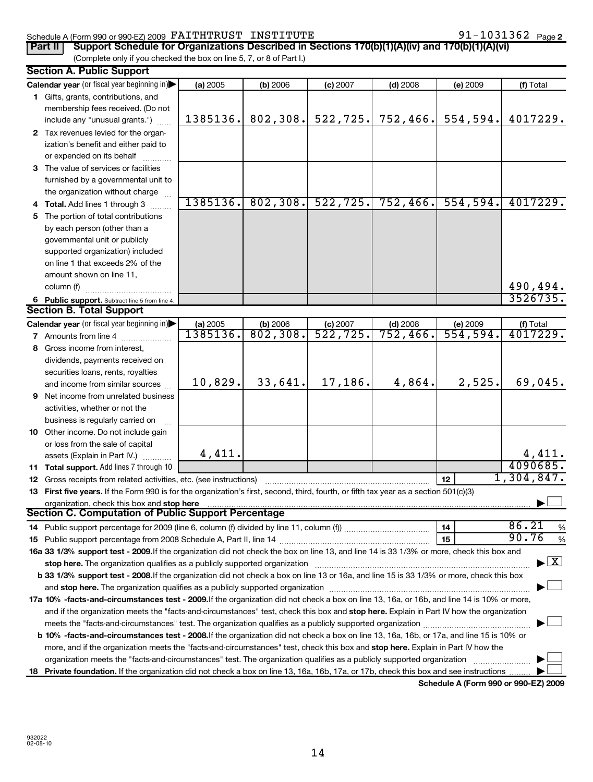#### Schedule A (Form 990 or 990-EZ) 2009 Page FAITHTRUST INSTITUTE 91-1031362

91-1031362 Page 2

| Part II   Support Schedule for Organizations Described in Sections 170(b)(1)(A)(iv) and 170(b)(1)(A)(vi) |
|----------------------------------------------------------------------------------------------------------|
| (Complete only if you checked the box on line 5, 7, or 8 of Part I.)                                     |

# **Section A. Public Support**

| <b>Calendar year</b> (or fiscal year beginning in)<br>(a) 2005<br>(b) 2006<br>(c) 2007<br>$(d)$ 2008<br>(e) 2009<br>(f) Total<br>1 Gifts, grants, contributions, and<br>membership fees received. (Do not<br>802,308.<br>522,725.<br>752,466.<br>554,594.<br>1385136.<br>4017229.<br>include any "unusual grants.")<br>2 Tax revenues levied for the organ-<br>ization's benefit and either paid to<br>or expended on its behalf<br>3 The value of services or facilities<br>furnished by a governmental unit to<br>the organization without charge<br>1385136.<br>802, 308.<br>522, 725.<br>554,594.<br>752,466.<br>4017229.<br>4 Total. Add lines 1 through 3<br>5 The portion of total contributions<br>by each person (other than a<br>governmental unit or publicly<br>supported organization) included<br>on line 1 that exceeds 2% of the<br>amount shown on line 11,<br>490,494.<br>column (f)<br>3526735.<br>6 Public support. Subtract line 5 from line 4.<br><b>Section B. Total Support</b><br>Calendar year (or fiscal year beginning in)<br>(a) 2005<br>(e) 2009<br>(f) Total<br>$\frac{6}{802,308}$<br>$\frac{c}{522}$ , 725.<br>(d) $\frac{2008}{752,466}$<br>4017229.<br>1385136.<br>554,594.<br>7 Amounts from line 4<br>8 Gross income from interest,<br>dividends, payments received on<br>securities loans, rents, royalties<br>10,829.<br>33,641.<br>17,186.<br>2,525.<br>69,045.<br>4,864.<br>and income from similar sources<br><b>9</b> Net income from unrelated business<br>activities, whether or not the<br>business is regularly carried on<br>10 Other income. Do not include gain<br>or loss from the sale of capital<br>4,411<br>4,411.<br>assets (Explain in Part IV.)<br>4090685.<br>11 Total support. Add lines 7 through 10<br>1,304,847.<br>12<br><b>12</b> Gross receipts from related activities, etc. (see instructions)<br>13 First five years. If the Form 990 is for the organization's first, second, third, fourth, or fifth tax year as a section 501(c)(3)<br>organization, check this box and stop here<br><b>Section C. Computation of Public Support Percentage</b><br>86.21<br>14<br>%<br>90.76<br>15<br>%<br>16a 33 1/3% support test - 2009. If the organization did not check the box on line 13, and line 14 is 33 1/3% or more, check this box and<br>► ∑<br>stop here. The organization qualifies as a publicly supported organization manufaction manufacture or the organization manufacture or the organization manufacture or the organization manufacture or the state of the state o<br>b 33 1/3% support test - 2008. If the organization did not check a box on line 13 or 16a, and line 15 is 33 1/3% or more, check this box<br>17a 10% -facts-and-circumstances test - 2009. If the organization did not check a box on line 13, 16a, or 16b, and line 14 is 10% or more,<br>and if the organization meets the "facts-and-circumstances" test, check this box and stop here. Explain in Part IV how the organization<br><b>b 10% -facts-and-circumstances test - 2008.</b> If the organization did not check a box on line 13, 16a, 16b, or 17a, and line 15 is 10% or<br>more, and if the organization meets the "facts-and-circumstances" test, check this box and stop here. Explain in Part IV how the<br>organization meets the "facts-and-circumstances" test. The organization qualifies as a publicly supported organization<br>18 Private foundation. If the organization did not check a box on line 13, 16a, 16b, 17a, or 17b, check this box and see instructions | Secuon A. Public Support |  |  |  |
|----------------------------------------------------------------------------------------------------------------------------------------------------------------------------------------------------------------------------------------------------------------------------------------------------------------------------------------------------------------------------------------------------------------------------------------------------------------------------------------------------------------------------------------------------------------------------------------------------------------------------------------------------------------------------------------------------------------------------------------------------------------------------------------------------------------------------------------------------------------------------------------------------------------------------------------------------------------------------------------------------------------------------------------------------------------------------------------------------------------------------------------------------------------------------------------------------------------------------------------------------------------------------------------------------------------------------------------------------------------------------------------------------------------------------------------------------------------------------------------------------------------------------------------------------------------------------------------------------------------------------------------------------------------------------------------------------------------------------------------------------------------------------------------------------------------------------------------------------------------------------------------------------------------------------------------------------------------------------------------------------------------------------------------------------------------------------------------------------------------------------------------------------------------------------------------------------------------------------------------------------------------------------------------------------------------------------------------------------------------------------------------------------------------------------------------------------------------------------------------------------------------------------------------------------------------------------------------------------------------------------------------------------------------------------------------------------------------------------------------------------------------------------------------------------------------------------------------------------------------------------------------------------------------------------------------------------------------------------------------------------------------------------------------------------------------------------------------------------------------------------------------------------------------------------------------------------------------------------------------------------------------------------------------------------------------------------------------------------------------------------------------------------------------------------------------------------------------------------------------------------------------------------------------------------|--------------------------|--|--|--|
|                                                                                                                                                                                                                                                                                                                                                                                                                                                                                                                                                                                                                                                                                                                                                                                                                                                                                                                                                                                                                                                                                                                                                                                                                                                                                                                                                                                                                                                                                                                                                                                                                                                                                                                                                                                                                                                                                                                                                                                                                                                                                                                                                                                                                                                                                                                                                                                                                                                                                                                                                                                                                                                                                                                                                                                                                                                                                                                                                                                                                                                                                                                                                                                                                                                                                                                                                                                                                                                                                                                                                    |                          |  |  |  |
|                                                                                                                                                                                                                                                                                                                                                                                                                                                                                                                                                                                                                                                                                                                                                                                                                                                                                                                                                                                                                                                                                                                                                                                                                                                                                                                                                                                                                                                                                                                                                                                                                                                                                                                                                                                                                                                                                                                                                                                                                                                                                                                                                                                                                                                                                                                                                                                                                                                                                                                                                                                                                                                                                                                                                                                                                                                                                                                                                                                                                                                                                                                                                                                                                                                                                                                                                                                                                                                                                                                                                    |                          |  |  |  |
|                                                                                                                                                                                                                                                                                                                                                                                                                                                                                                                                                                                                                                                                                                                                                                                                                                                                                                                                                                                                                                                                                                                                                                                                                                                                                                                                                                                                                                                                                                                                                                                                                                                                                                                                                                                                                                                                                                                                                                                                                                                                                                                                                                                                                                                                                                                                                                                                                                                                                                                                                                                                                                                                                                                                                                                                                                                                                                                                                                                                                                                                                                                                                                                                                                                                                                                                                                                                                                                                                                                                                    |                          |  |  |  |
|                                                                                                                                                                                                                                                                                                                                                                                                                                                                                                                                                                                                                                                                                                                                                                                                                                                                                                                                                                                                                                                                                                                                                                                                                                                                                                                                                                                                                                                                                                                                                                                                                                                                                                                                                                                                                                                                                                                                                                                                                                                                                                                                                                                                                                                                                                                                                                                                                                                                                                                                                                                                                                                                                                                                                                                                                                                                                                                                                                                                                                                                                                                                                                                                                                                                                                                                                                                                                                                                                                                                                    |                          |  |  |  |
|                                                                                                                                                                                                                                                                                                                                                                                                                                                                                                                                                                                                                                                                                                                                                                                                                                                                                                                                                                                                                                                                                                                                                                                                                                                                                                                                                                                                                                                                                                                                                                                                                                                                                                                                                                                                                                                                                                                                                                                                                                                                                                                                                                                                                                                                                                                                                                                                                                                                                                                                                                                                                                                                                                                                                                                                                                                                                                                                                                                                                                                                                                                                                                                                                                                                                                                                                                                                                                                                                                                                                    |                          |  |  |  |
|                                                                                                                                                                                                                                                                                                                                                                                                                                                                                                                                                                                                                                                                                                                                                                                                                                                                                                                                                                                                                                                                                                                                                                                                                                                                                                                                                                                                                                                                                                                                                                                                                                                                                                                                                                                                                                                                                                                                                                                                                                                                                                                                                                                                                                                                                                                                                                                                                                                                                                                                                                                                                                                                                                                                                                                                                                                                                                                                                                                                                                                                                                                                                                                                                                                                                                                                                                                                                                                                                                                                                    |                          |  |  |  |
|                                                                                                                                                                                                                                                                                                                                                                                                                                                                                                                                                                                                                                                                                                                                                                                                                                                                                                                                                                                                                                                                                                                                                                                                                                                                                                                                                                                                                                                                                                                                                                                                                                                                                                                                                                                                                                                                                                                                                                                                                                                                                                                                                                                                                                                                                                                                                                                                                                                                                                                                                                                                                                                                                                                                                                                                                                                                                                                                                                                                                                                                                                                                                                                                                                                                                                                                                                                                                                                                                                                                                    |                          |  |  |  |
|                                                                                                                                                                                                                                                                                                                                                                                                                                                                                                                                                                                                                                                                                                                                                                                                                                                                                                                                                                                                                                                                                                                                                                                                                                                                                                                                                                                                                                                                                                                                                                                                                                                                                                                                                                                                                                                                                                                                                                                                                                                                                                                                                                                                                                                                                                                                                                                                                                                                                                                                                                                                                                                                                                                                                                                                                                                                                                                                                                                                                                                                                                                                                                                                                                                                                                                                                                                                                                                                                                                                                    |                          |  |  |  |
|                                                                                                                                                                                                                                                                                                                                                                                                                                                                                                                                                                                                                                                                                                                                                                                                                                                                                                                                                                                                                                                                                                                                                                                                                                                                                                                                                                                                                                                                                                                                                                                                                                                                                                                                                                                                                                                                                                                                                                                                                                                                                                                                                                                                                                                                                                                                                                                                                                                                                                                                                                                                                                                                                                                                                                                                                                                                                                                                                                                                                                                                                                                                                                                                                                                                                                                                                                                                                                                                                                                                                    |                          |  |  |  |
|                                                                                                                                                                                                                                                                                                                                                                                                                                                                                                                                                                                                                                                                                                                                                                                                                                                                                                                                                                                                                                                                                                                                                                                                                                                                                                                                                                                                                                                                                                                                                                                                                                                                                                                                                                                                                                                                                                                                                                                                                                                                                                                                                                                                                                                                                                                                                                                                                                                                                                                                                                                                                                                                                                                                                                                                                                                                                                                                                                                                                                                                                                                                                                                                                                                                                                                                                                                                                                                                                                                                                    |                          |  |  |  |
|                                                                                                                                                                                                                                                                                                                                                                                                                                                                                                                                                                                                                                                                                                                                                                                                                                                                                                                                                                                                                                                                                                                                                                                                                                                                                                                                                                                                                                                                                                                                                                                                                                                                                                                                                                                                                                                                                                                                                                                                                                                                                                                                                                                                                                                                                                                                                                                                                                                                                                                                                                                                                                                                                                                                                                                                                                                                                                                                                                                                                                                                                                                                                                                                                                                                                                                                                                                                                                                                                                                                                    |                          |  |  |  |
|                                                                                                                                                                                                                                                                                                                                                                                                                                                                                                                                                                                                                                                                                                                                                                                                                                                                                                                                                                                                                                                                                                                                                                                                                                                                                                                                                                                                                                                                                                                                                                                                                                                                                                                                                                                                                                                                                                                                                                                                                                                                                                                                                                                                                                                                                                                                                                                                                                                                                                                                                                                                                                                                                                                                                                                                                                                                                                                                                                                                                                                                                                                                                                                                                                                                                                                                                                                                                                                                                                                                                    |                          |  |  |  |
|                                                                                                                                                                                                                                                                                                                                                                                                                                                                                                                                                                                                                                                                                                                                                                                                                                                                                                                                                                                                                                                                                                                                                                                                                                                                                                                                                                                                                                                                                                                                                                                                                                                                                                                                                                                                                                                                                                                                                                                                                                                                                                                                                                                                                                                                                                                                                                                                                                                                                                                                                                                                                                                                                                                                                                                                                                                                                                                                                                                                                                                                                                                                                                                                                                                                                                                                                                                                                                                                                                                                                    |                          |  |  |  |
|                                                                                                                                                                                                                                                                                                                                                                                                                                                                                                                                                                                                                                                                                                                                                                                                                                                                                                                                                                                                                                                                                                                                                                                                                                                                                                                                                                                                                                                                                                                                                                                                                                                                                                                                                                                                                                                                                                                                                                                                                                                                                                                                                                                                                                                                                                                                                                                                                                                                                                                                                                                                                                                                                                                                                                                                                                                                                                                                                                                                                                                                                                                                                                                                                                                                                                                                                                                                                                                                                                                                                    |                          |  |  |  |
|                                                                                                                                                                                                                                                                                                                                                                                                                                                                                                                                                                                                                                                                                                                                                                                                                                                                                                                                                                                                                                                                                                                                                                                                                                                                                                                                                                                                                                                                                                                                                                                                                                                                                                                                                                                                                                                                                                                                                                                                                                                                                                                                                                                                                                                                                                                                                                                                                                                                                                                                                                                                                                                                                                                                                                                                                                                                                                                                                                                                                                                                                                                                                                                                                                                                                                                                                                                                                                                                                                                                                    |                          |  |  |  |
|                                                                                                                                                                                                                                                                                                                                                                                                                                                                                                                                                                                                                                                                                                                                                                                                                                                                                                                                                                                                                                                                                                                                                                                                                                                                                                                                                                                                                                                                                                                                                                                                                                                                                                                                                                                                                                                                                                                                                                                                                                                                                                                                                                                                                                                                                                                                                                                                                                                                                                                                                                                                                                                                                                                                                                                                                                                                                                                                                                                                                                                                                                                                                                                                                                                                                                                                                                                                                                                                                                                                                    |                          |  |  |  |
|                                                                                                                                                                                                                                                                                                                                                                                                                                                                                                                                                                                                                                                                                                                                                                                                                                                                                                                                                                                                                                                                                                                                                                                                                                                                                                                                                                                                                                                                                                                                                                                                                                                                                                                                                                                                                                                                                                                                                                                                                                                                                                                                                                                                                                                                                                                                                                                                                                                                                                                                                                                                                                                                                                                                                                                                                                                                                                                                                                                                                                                                                                                                                                                                                                                                                                                                                                                                                                                                                                                                                    |                          |  |  |  |
|                                                                                                                                                                                                                                                                                                                                                                                                                                                                                                                                                                                                                                                                                                                                                                                                                                                                                                                                                                                                                                                                                                                                                                                                                                                                                                                                                                                                                                                                                                                                                                                                                                                                                                                                                                                                                                                                                                                                                                                                                                                                                                                                                                                                                                                                                                                                                                                                                                                                                                                                                                                                                                                                                                                                                                                                                                                                                                                                                                                                                                                                                                                                                                                                                                                                                                                                                                                                                                                                                                                                                    |                          |  |  |  |
|                                                                                                                                                                                                                                                                                                                                                                                                                                                                                                                                                                                                                                                                                                                                                                                                                                                                                                                                                                                                                                                                                                                                                                                                                                                                                                                                                                                                                                                                                                                                                                                                                                                                                                                                                                                                                                                                                                                                                                                                                                                                                                                                                                                                                                                                                                                                                                                                                                                                                                                                                                                                                                                                                                                                                                                                                                                                                                                                                                                                                                                                                                                                                                                                                                                                                                                                                                                                                                                                                                                                                    |                          |  |  |  |
|                                                                                                                                                                                                                                                                                                                                                                                                                                                                                                                                                                                                                                                                                                                                                                                                                                                                                                                                                                                                                                                                                                                                                                                                                                                                                                                                                                                                                                                                                                                                                                                                                                                                                                                                                                                                                                                                                                                                                                                                                                                                                                                                                                                                                                                                                                                                                                                                                                                                                                                                                                                                                                                                                                                                                                                                                                                                                                                                                                                                                                                                                                                                                                                                                                                                                                                                                                                                                                                                                                                                                    |                          |  |  |  |
|                                                                                                                                                                                                                                                                                                                                                                                                                                                                                                                                                                                                                                                                                                                                                                                                                                                                                                                                                                                                                                                                                                                                                                                                                                                                                                                                                                                                                                                                                                                                                                                                                                                                                                                                                                                                                                                                                                                                                                                                                                                                                                                                                                                                                                                                                                                                                                                                                                                                                                                                                                                                                                                                                                                                                                                                                                                                                                                                                                                                                                                                                                                                                                                                                                                                                                                                                                                                                                                                                                                                                    |                          |  |  |  |
|                                                                                                                                                                                                                                                                                                                                                                                                                                                                                                                                                                                                                                                                                                                                                                                                                                                                                                                                                                                                                                                                                                                                                                                                                                                                                                                                                                                                                                                                                                                                                                                                                                                                                                                                                                                                                                                                                                                                                                                                                                                                                                                                                                                                                                                                                                                                                                                                                                                                                                                                                                                                                                                                                                                                                                                                                                                                                                                                                                                                                                                                                                                                                                                                                                                                                                                                                                                                                                                                                                                                                    |                          |  |  |  |
|                                                                                                                                                                                                                                                                                                                                                                                                                                                                                                                                                                                                                                                                                                                                                                                                                                                                                                                                                                                                                                                                                                                                                                                                                                                                                                                                                                                                                                                                                                                                                                                                                                                                                                                                                                                                                                                                                                                                                                                                                                                                                                                                                                                                                                                                                                                                                                                                                                                                                                                                                                                                                                                                                                                                                                                                                                                                                                                                                                                                                                                                                                                                                                                                                                                                                                                                                                                                                                                                                                                                                    |                          |  |  |  |
|                                                                                                                                                                                                                                                                                                                                                                                                                                                                                                                                                                                                                                                                                                                                                                                                                                                                                                                                                                                                                                                                                                                                                                                                                                                                                                                                                                                                                                                                                                                                                                                                                                                                                                                                                                                                                                                                                                                                                                                                                                                                                                                                                                                                                                                                                                                                                                                                                                                                                                                                                                                                                                                                                                                                                                                                                                                                                                                                                                                                                                                                                                                                                                                                                                                                                                                                                                                                                                                                                                                                                    |                          |  |  |  |
|                                                                                                                                                                                                                                                                                                                                                                                                                                                                                                                                                                                                                                                                                                                                                                                                                                                                                                                                                                                                                                                                                                                                                                                                                                                                                                                                                                                                                                                                                                                                                                                                                                                                                                                                                                                                                                                                                                                                                                                                                                                                                                                                                                                                                                                                                                                                                                                                                                                                                                                                                                                                                                                                                                                                                                                                                                                                                                                                                                                                                                                                                                                                                                                                                                                                                                                                                                                                                                                                                                                                                    |                          |  |  |  |
|                                                                                                                                                                                                                                                                                                                                                                                                                                                                                                                                                                                                                                                                                                                                                                                                                                                                                                                                                                                                                                                                                                                                                                                                                                                                                                                                                                                                                                                                                                                                                                                                                                                                                                                                                                                                                                                                                                                                                                                                                                                                                                                                                                                                                                                                                                                                                                                                                                                                                                                                                                                                                                                                                                                                                                                                                                                                                                                                                                                                                                                                                                                                                                                                                                                                                                                                                                                                                                                                                                                                                    |                          |  |  |  |
|                                                                                                                                                                                                                                                                                                                                                                                                                                                                                                                                                                                                                                                                                                                                                                                                                                                                                                                                                                                                                                                                                                                                                                                                                                                                                                                                                                                                                                                                                                                                                                                                                                                                                                                                                                                                                                                                                                                                                                                                                                                                                                                                                                                                                                                                                                                                                                                                                                                                                                                                                                                                                                                                                                                                                                                                                                                                                                                                                                                                                                                                                                                                                                                                                                                                                                                                                                                                                                                                                                                                                    |                          |  |  |  |
|                                                                                                                                                                                                                                                                                                                                                                                                                                                                                                                                                                                                                                                                                                                                                                                                                                                                                                                                                                                                                                                                                                                                                                                                                                                                                                                                                                                                                                                                                                                                                                                                                                                                                                                                                                                                                                                                                                                                                                                                                                                                                                                                                                                                                                                                                                                                                                                                                                                                                                                                                                                                                                                                                                                                                                                                                                                                                                                                                                                                                                                                                                                                                                                                                                                                                                                                                                                                                                                                                                                                                    |                          |  |  |  |
|                                                                                                                                                                                                                                                                                                                                                                                                                                                                                                                                                                                                                                                                                                                                                                                                                                                                                                                                                                                                                                                                                                                                                                                                                                                                                                                                                                                                                                                                                                                                                                                                                                                                                                                                                                                                                                                                                                                                                                                                                                                                                                                                                                                                                                                                                                                                                                                                                                                                                                                                                                                                                                                                                                                                                                                                                                                                                                                                                                                                                                                                                                                                                                                                                                                                                                                                                                                                                                                                                                                                                    |                          |  |  |  |
|                                                                                                                                                                                                                                                                                                                                                                                                                                                                                                                                                                                                                                                                                                                                                                                                                                                                                                                                                                                                                                                                                                                                                                                                                                                                                                                                                                                                                                                                                                                                                                                                                                                                                                                                                                                                                                                                                                                                                                                                                                                                                                                                                                                                                                                                                                                                                                                                                                                                                                                                                                                                                                                                                                                                                                                                                                                                                                                                                                                                                                                                                                                                                                                                                                                                                                                                                                                                                                                                                                                                                    |                          |  |  |  |
|                                                                                                                                                                                                                                                                                                                                                                                                                                                                                                                                                                                                                                                                                                                                                                                                                                                                                                                                                                                                                                                                                                                                                                                                                                                                                                                                                                                                                                                                                                                                                                                                                                                                                                                                                                                                                                                                                                                                                                                                                                                                                                                                                                                                                                                                                                                                                                                                                                                                                                                                                                                                                                                                                                                                                                                                                                                                                                                                                                                                                                                                                                                                                                                                                                                                                                                                                                                                                                                                                                                                                    |                          |  |  |  |
|                                                                                                                                                                                                                                                                                                                                                                                                                                                                                                                                                                                                                                                                                                                                                                                                                                                                                                                                                                                                                                                                                                                                                                                                                                                                                                                                                                                                                                                                                                                                                                                                                                                                                                                                                                                                                                                                                                                                                                                                                                                                                                                                                                                                                                                                                                                                                                                                                                                                                                                                                                                                                                                                                                                                                                                                                                                                                                                                                                                                                                                                                                                                                                                                                                                                                                                                                                                                                                                                                                                                                    |                          |  |  |  |
|                                                                                                                                                                                                                                                                                                                                                                                                                                                                                                                                                                                                                                                                                                                                                                                                                                                                                                                                                                                                                                                                                                                                                                                                                                                                                                                                                                                                                                                                                                                                                                                                                                                                                                                                                                                                                                                                                                                                                                                                                                                                                                                                                                                                                                                                                                                                                                                                                                                                                                                                                                                                                                                                                                                                                                                                                                                                                                                                                                                                                                                                                                                                                                                                                                                                                                                                                                                                                                                                                                                                                    |                          |  |  |  |
|                                                                                                                                                                                                                                                                                                                                                                                                                                                                                                                                                                                                                                                                                                                                                                                                                                                                                                                                                                                                                                                                                                                                                                                                                                                                                                                                                                                                                                                                                                                                                                                                                                                                                                                                                                                                                                                                                                                                                                                                                                                                                                                                                                                                                                                                                                                                                                                                                                                                                                                                                                                                                                                                                                                                                                                                                                                                                                                                                                                                                                                                                                                                                                                                                                                                                                                                                                                                                                                                                                                                                    |                          |  |  |  |
|                                                                                                                                                                                                                                                                                                                                                                                                                                                                                                                                                                                                                                                                                                                                                                                                                                                                                                                                                                                                                                                                                                                                                                                                                                                                                                                                                                                                                                                                                                                                                                                                                                                                                                                                                                                                                                                                                                                                                                                                                                                                                                                                                                                                                                                                                                                                                                                                                                                                                                                                                                                                                                                                                                                                                                                                                                                                                                                                                                                                                                                                                                                                                                                                                                                                                                                                                                                                                                                                                                                                                    |                          |  |  |  |
|                                                                                                                                                                                                                                                                                                                                                                                                                                                                                                                                                                                                                                                                                                                                                                                                                                                                                                                                                                                                                                                                                                                                                                                                                                                                                                                                                                                                                                                                                                                                                                                                                                                                                                                                                                                                                                                                                                                                                                                                                                                                                                                                                                                                                                                                                                                                                                                                                                                                                                                                                                                                                                                                                                                                                                                                                                                                                                                                                                                                                                                                                                                                                                                                                                                                                                                                                                                                                                                                                                                                                    |                          |  |  |  |
|                                                                                                                                                                                                                                                                                                                                                                                                                                                                                                                                                                                                                                                                                                                                                                                                                                                                                                                                                                                                                                                                                                                                                                                                                                                                                                                                                                                                                                                                                                                                                                                                                                                                                                                                                                                                                                                                                                                                                                                                                                                                                                                                                                                                                                                                                                                                                                                                                                                                                                                                                                                                                                                                                                                                                                                                                                                                                                                                                                                                                                                                                                                                                                                                                                                                                                                                                                                                                                                                                                                                                    |                          |  |  |  |
|                                                                                                                                                                                                                                                                                                                                                                                                                                                                                                                                                                                                                                                                                                                                                                                                                                                                                                                                                                                                                                                                                                                                                                                                                                                                                                                                                                                                                                                                                                                                                                                                                                                                                                                                                                                                                                                                                                                                                                                                                                                                                                                                                                                                                                                                                                                                                                                                                                                                                                                                                                                                                                                                                                                                                                                                                                                                                                                                                                                                                                                                                                                                                                                                                                                                                                                                                                                                                                                                                                                                                    |                          |  |  |  |
|                                                                                                                                                                                                                                                                                                                                                                                                                                                                                                                                                                                                                                                                                                                                                                                                                                                                                                                                                                                                                                                                                                                                                                                                                                                                                                                                                                                                                                                                                                                                                                                                                                                                                                                                                                                                                                                                                                                                                                                                                                                                                                                                                                                                                                                                                                                                                                                                                                                                                                                                                                                                                                                                                                                                                                                                                                                                                                                                                                                                                                                                                                                                                                                                                                                                                                                                                                                                                                                                                                                                                    |                          |  |  |  |
|                                                                                                                                                                                                                                                                                                                                                                                                                                                                                                                                                                                                                                                                                                                                                                                                                                                                                                                                                                                                                                                                                                                                                                                                                                                                                                                                                                                                                                                                                                                                                                                                                                                                                                                                                                                                                                                                                                                                                                                                                                                                                                                                                                                                                                                                                                                                                                                                                                                                                                                                                                                                                                                                                                                                                                                                                                                                                                                                                                                                                                                                                                                                                                                                                                                                                                                                                                                                                                                                                                                                                    |                          |  |  |  |
|                                                                                                                                                                                                                                                                                                                                                                                                                                                                                                                                                                                                                                                                                                                                                                                                                                                                                                                                                                                                                                                                                                                                                                                                                                                                                                                                                                                                                                                                                                                                                                                                                                                                                                                                                                                                                                                                                                                                                                                                                                                                                                                                                                                                                                                                                                                                                                                                                                                                                                                                                                                                                                                                                                                                                                                                                                                                                                                                                                                                                                                                                                                                                                                                                                                                                                                                                                                                                                                                                                                                                    |                          |  |  |  |
|                                                                                                                                                                                                                                                                                                                                                                                                                                                                                                                                                                                                                                                                                                                                                                                                                                                                                                                                                                                                                                                                                                                                                                                                                                                                                                                                                                                                                                                                                                                                                                                                                                                                                                                                                                                                                                                                                                                                                                                                                                                                                                                                                                                                                                                                                                                                                                                                                                                                                                                                                                                                                                                                                                                                                                                                                                                                                                                                                                                                                                                                                                                                                                                                                                                                                                                                                                                                                                                                                                                                                    |                          |  |  |  |
|                                                                                                                                                                                                                                                                                                                                                                                                                                                                                                                                                                                                                                                                                                                                                                                                                                                                                                                                                                                                                                                                                                                                                                                                                                                                                                                                                                                                                                                                                                                                                                                                                                                                                                                                                                                                                                                                                                                                                                                                                                                                                                                                                                                                                                                                                                                                                                                                                                                                                                                                                                                                                                                                                                                                                                                                                                                                                                                                                                                                                                                                                                                                                                                                                                                                                                                                                                                                                                                                                                                                                    |                          |  |  |  |
|                                                                                                                                                                                                                                                                                                                                                                                                                                                                                                                                                                                                                                                                                                                                                                                                                                                                                                                                                                                                                                                                                                                                                                                                                                                                                                                                                                                                                                                                                                                                                                                                                                                                                                                                                                                                                                                                                                                                                                                                                                                                                                                                                                                                                                                                                                                                                                                                                                                                                                                                                                                                                                                                                                                                                                                                                                                                                                                                                                                                                                                                                                                                                                                                                                                                                                                                                                                                                                                                                                                                                    |                          |  |  |  |
|                                                                                                                                                                                                                                                                                                                                                                                                                                                                                                                                                                                                                                                                                                                                                                                                                                                                                                                                                                                                                                                                                                                                                                                                                                                                                                                                                                                                                                                                                                                                                                                                                                                                                                                                                                                                                                                                                                                                                                                                                                                                                                                                                                                                                                                                                                                                                                                                                                                                                                                                                                                                                                                                                                                                                                                                                                                                                                                                                                                                                                                                                                                                                                                                                                                                                                                                                                                                                                                                                                                                                    |                          |  |  |  |
|                                                                                                                                                                                                                                                                                                                                                                                                                                                                                                                                                                                                                                                                                                                                                                                                                                                                                                                                                                                                                                                                                                                                                                                                                                                                                                                                                                                                                                                                                                                                                                                                                                                                                                                                                                                                                                                                                                                                                                                                                                                                                                                                                                                                                                                                                                                                                                                                                                                                                                                                                                                                                                                                                                                                                                                                                                                                                                                                                                                                                                                                                                                                                                                                                                                                                                                                                                                                                                                                                                                                                    |                          |  |  |  |
|                                                                                                                                                                                                                                                                                                                                                                                                                                                                                                                                                                                                                                                                                                                                                                                                                                                                                                                                                                                                                                                                                                                                                                                                                                                                                                                                                                                                                                                                                                                                                                                                                                                                                                                                                                                                                                                                                                                                                                                                                                                                                                                                                                                                                                                                                                                                                                                                                                                                                                                                                                                                                                                                                                                                                                                                                                                                                                                                                                                                                                                                                                                                                                                                                                                                                                                                                                                                                                                                                                                                                    |                          |  |  |  |
|                                                                                                                                                                                                                                                                                                                                                                                                                                                                                                                                                                                                                                                                                                                                                                                                                                                                                                                                                                                                                                                                                                                                                                                                                                                                                                                                                                                                                                                                                                                                                                                                                                                                                                                                                                                                                                                                                                                                                                                                                                                                                                                                                                                                                                                                                                                                                                                                                                                                                                                                                                                                                                                                                                                                                                                                                                                                                                                                                                                                                                                                                                                                                                                                                                                                                                                                                                                                                                                                                                                                                    |                          |  |  |  |
|                                                                                                                                                                                                                                                                                                                                                                                                                                                                                                                                                                                                                                                                                                                                                                                                                                                                                                                                                                                                                                                                                                                                                                                                                                                                                                                                                                                                                                                                                                                                                                                                                                                                                                                                                                                                                                                                                                                                                                                                                                                                                                                                                                                                                                                                                                                                                                                                                                                                                                                                                                                                                                                                                                                                                                                                                                                                                                                                                                                                                                                                                                                                                                                                                                                                                                                                                                                                                                                                                                                                                    |                          |  |  |  |
|                                                                                                                                                                                                                                                                                                                                                                                                                                                                                                                                                                                                                                                                                                                                                                                                                                                                                                                                                                                                                                                                                                                                                                                                                                                                                                                                                                                                                                                                                                                                                                                                                                                                                                                                                                                                                                                                                                                                                                                                                                                                                                                                                                                                                                                                                                                                                                                                                                                                                                                                                                                                                                                                                                                                                                                                                                                                                                                                                                                                                                                                                                                                                                                                                                                                                                                                                                                                                                                                                                                                                    |                          |  |  |  |

**Schedule A (Form 990 or 990-EZ) 2009**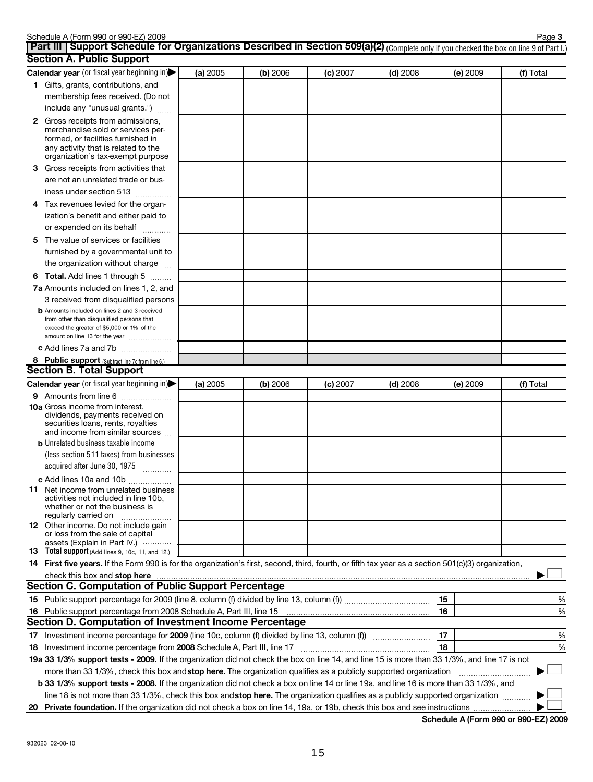| <b>Section A. Public Support</b>                                                                                                                                                         |          |          |            |            | Complete only if you difference the box off line o or fait if |           |
|------------------------------------------------------------------------------------------------------------------------------------------------------------------------------------------|----------|----------|------------|------------|---------------------------------------------------------------|-----------|
| Calendar year (or fiscal year beginning in)                                                                                                                                              | (a) 2005 | (b) 2006 | $(c)$ 2007 | $(d)$ 2008 | (e) 2009                                                      | (f) Total |
| 1 Gifts, grants, contributions, and<br>membership fees received. (Do not<br>include any "unusual grants.")                                                                               |          |          |            |            |                                                               |           |
| 2 Gross receipts from admissions,<br>merchandise sold or services per-<br>formed, or facilities furnished in<br>any activity that is related to the<br>organization's tax-exempt purpose |          |          |            |            |                                                               |           |
| 3 Gross receipts from activities that<br>are not an unrelated trade or bus-                                                                                                              |          |          |            |            |                                                               |           |
| iness under section 513                                                                                                                                                                  |          |          |            |            |                                                               |           |
| Tax revenues levied for the organ-<br>4<br>ization's benefit and either paid to<br>or expended on its behalf                                                                             |          |          |            |            |                                                               |           |
| 5 The value of services or facilities<br>furnished by a governmental unit to<br>the organization without charge                                                                          |          |          |            |            |                                                               |           |
| <b>6 Total.</b> Add lines 1 through 5                                                                                                                                                    |          |          |            |            |                                                               |           |
| 7a Amounts included on lines 1, 2, and<br>3 received from disqualified persons                                                                                                           |          |          |            |            |                                                               |           |
| <b>b</b> Amounts included on lines 2 and 3 received<br>from other than disqualified persons that<br>exceed the greater of \$5,000 or 1% of the<br>amount on line 13 for the year         |          |          |            |            |                                                               |           |
| c Add lines 7a and 7b                                                                                                                                                                    |          |          |            |            |                                                               |           |
| 8 Public support (Subtract line 7c from line 6.)<br><b>Section B. Total Support</b>                                                                                                      |          |          |            |            |                                                               |           |
| Calendar year (or fiscal year beginning in)                                                                                                                                              | (a) 2005 | (b) 2006 | (c) 2007   | $(d)$ 2008 | (e) 2009                                                      | (f) Total |
| 9 Amounts from line 6                                                                                                                                                                    |          |          |            |            |                                                               |           |
| <b>10a</b> Gross income from interest,<br>dividends, payments received on<br>securities loans, rents, royalties<br>and income from similar sources                                       |          |          |            |            |                                                               |           |
| <b>b</b> Unrelated business taxable income                                                                                                                                               |          |          |            |            |                                                               |           |
| (less section 511 taxes) from businesses<br>acquired after June 30, 1975                                                                                                                 |          |          |            |            |                                                               |           |
| c Add lines 10a and 10b                                                                                                                                                                  |          |          |            |            |                                                               |           |
| <b>11</b> Net income from unrelated business<br>activities not included in line 10b,<br>whether or not the business is<br>regularly carried on                                           |          |          |            |            |                                                               |           |
| 12 Other income. Do not include gain<br>or loss from the sale of capital<br>assets (Explain in Part IV.)                                                                                 |          |          |            |            |                                                               |           |
| <b>13</b> Total support (Add lines 9, 10c, 11, and 12.)                                                                                                                                  |          |          |            |            |                                                               |           |
| 14 First five years. If the Form 990 is for the organization's first, second, third, fourth, or fifth tax year as a section 501(c)(3) organization,                                      |          |          |            |            |                                                               |           |
| check this box and stop here                                                                                                                                                             |          |          |            |            |                                                               |           |
| <b>Section C. Computation of Public Support Percentage</b>                                                                                                                               |          |          |            |            |                                                               |           |
|                                                                                                                                                                                          |          |          |            |            | 15                                                            | %         |
|                                                                                                                                                                                          |          |          |            |            | 16                                                            | %         |
| Section D. Computation of Investment Income Percentage                                                                                                                                   |          |          |            |            |                                                               |           |
|                                                                                                                                                                                          |          |          |            |            | 17                                                            | %         |
|                                                                                                                                                                                          |          |          |            |            | 18                                                            | %         |
| 19a 33 1/3% support tests - 2009. If the organization did not check the box on line 14, and line 15 is more than 33 1/3%, and line 17 is not                                             |          |          |            |            |                                                               |           |
| more than 33 1/3%, check this box and stop here. The organization qualifies as a publicly supported organization                                                                         |          |          |            |            |                                                               |           |
| b 33 1/3% support tests - 2008. If the organization did not check a box on line 14 or line 19a, and line 16 is more than 33 1/3%, and                                                    |          |          |            |            |                                                               |           |
| line 18 is not more than 33 1/3%, check this box and stop here. The organization qualifies as a publicly supported organization                                                          |          |          |            |            |                                                               |           |

| line 18 is not more than 33 1/3%, check this box andstop here. The organization qualifies as a publicly supported organization |  |
|--------------------------------------------------------------------------------------------------------------------------------|--|
| 20 Private foundation. If the organization did not check a box on line 14, 19a, or 19b, check this box and see instructions    |  |

 $\overline{\phantom{a}}$ 

(Complete only if you checked the box on line 9 of Part I.)

| Schedule A (Form 990 or 990-EZ) 2009 | Page                                                                                                                                       |
|--------------------------------------|--------------------------------------------------------------------------------------------------------------------------------------------|
|                                      | <b>Part III   Support Schedule for Organizations Described in Section 509(a)(2)</b> (Complete only if you checked the box on line 9 of Par |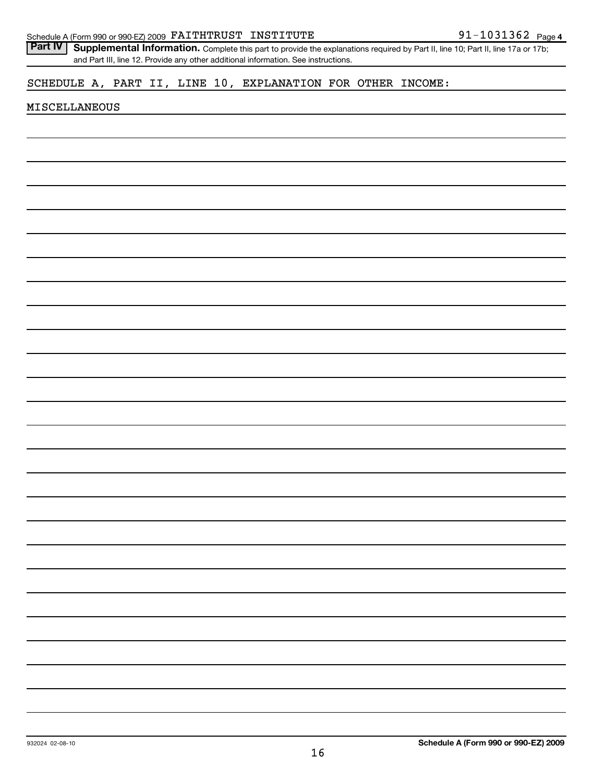| Schedule A (Form 990 or 990-EZ) 2009 FAITHTRUST INSTITUTE                                                                                          | 91-1031362 Page 4 |
|----------------------------------------------------------------------------------------------------------------------------------------------------|-------------------|
| <b>Part IV</b><br>Supplemental Information. Complete this part to provide the explanations required by Part II, line 10; Part II, line 17a or 17b; |                   |
| and Part III, line 12. Provide any other additional information. See instructions.                                                                 |                   |
| SCHEDULE A, PART II, LINE 10, EXPLANATION FOR OTHER INCOME:                                                                                        |                   |
| <b>MISCELLANEOUS</b>                                                                                                                               |                   |
|                                                                                                                                                    |                   |
|                                                                                                                                                    |                   |
|                                                                                                                                                    |                   |
|                                                                                                                                                    |                   |
|                                                                                                                                                    |                   |
|                                                                                                                                                    |                   |
|                                                                                                                                                    |                   |
|                                                                                                                                                    |                   |
|                                                                                                                                                    |                   |
|                                                                                                                                                    |                   |
|                                                                                                                                                    |                   |
|                                                                                                                                                    |                   |
|                                                                                                                                                    |                   |
|                                                                                                                                                    |                   |
|                                                                                                                                                    |                   |
|                                                                                                                                                    |                   |
|                                                                                                                                                    |                   |
|                                                                                                                                                    |                   |
|                                                                                                                                                    |                   |
|                                                                                                                                                    |                   |
|                                                                                                                                                    |                   |
|                                                                                                                                                    |                   |
|                                                                                                                                                    |                   |
|                                                                                                                                                    |                   |
|                                                                                                                                                    |                   |
|                                                                                                                                                    |                   |
|                                                                                                                                                    |                   |
|                                                                                                                                                    |                   |
|                                                                                                                                                    |                   |
|                                                                                                                                                    |                   |
|                                                                                                                                                    |                   |
|                                                                                                                                                    |                   |
|                                                                                                                                                    |                   |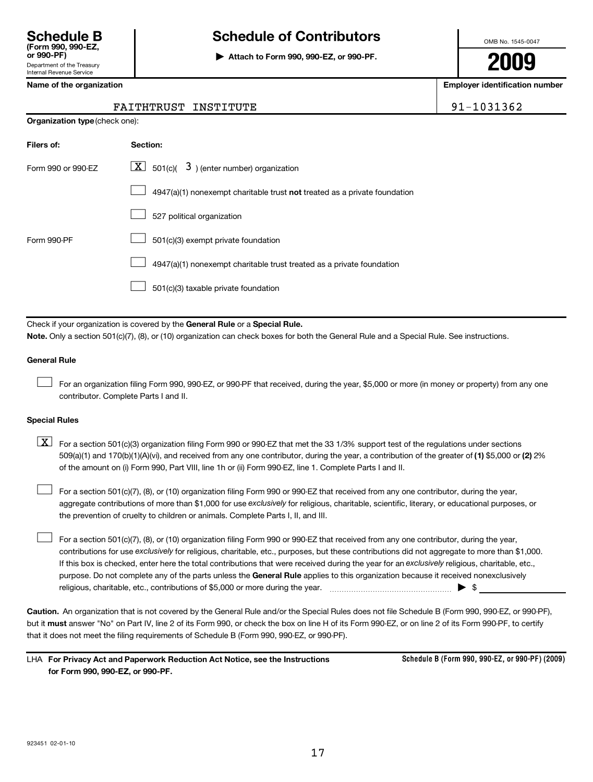# **Schedule B Schedule of Contributors**

**or 990-PF) | Attach to Form 990, 990-EZ, or 990-PF.**

OMB No. 1545-0047

**2009**

**Name of the organization Employer identification number**

|  | FAITHTRUST INSTITUTE | 91-1031362 |
|--|----------------------|------------|
|--|----------------------|------------|

|  | $91 - 1031$ |  |  |  |
|--|-------------|--|--|--|
|  |             |  |  |  |

**Organization type** (check one):

| Filers of:         | <b>Section:</b>                                                                    |
|--------------------|------------------------------------------------------------------------------------|
| Form 990 or 990-F7 | $\lfloor \underline{X} \rfloor$ 501(c)( 3) (enter number) organization             |
|                    | $4947(a)(1)$ nonexempt charitable trust <b>not</b> treated as a private foundation |
|                    | 527 political organization                                                         |
| Form 990-PF        | 501(c)(3) exempt private foundation                                                |
|                    | 4947(a)(1) nonexempt charitable trust treated as a private foundation              |
|                    | 501(c)(3) taxable private foundation                                               |

Check if your organization is covered by the General Rule or a Special Rule. **Note.**  Only a section 501(c)(7), (8), or (10) organization can check boxes for both the General Rule and a Special Rule. See instructions.

#### **General Rule**

For an organization filing Form 990, 990-EZ, or 990-PF that received, during the year, \$5,000 or more (in money or property) from any one contributor. Complete Parts I and II.  $\left\vert \cdot\right\vert$ 

#### **Special Rules**

509(a)(1) and 170(b)(1)(A)(vi), and received from any one contributor, during the year, a contribution of the greater of (1) \$5,000 or (2) 2%  $\boxed{\textbf{X}}$  For a section 501(c)(3) organization filing Form 990 or 990-EZ that met the 33 1/3% support test of the regulations under sections of the amount on (i) Form 990, Part VIII, line 1h or (ii) Form 990-EZ, line 1. Complete Parts I and II.

aggregate contributions of more than \$1,000 for use exclusively for religious, charitable, scientific, literary, or educational purposes, or For a section 501(c)(7), (8), or (10) organization filing Form 990 or 990-EZ that received from any one contributor, during the year, the prevention of cruelty to children or animals. Complete Parts I, II, and III.  $\left\vert \cdot\right\vert$ 

purpose. Do not complete any of the parts unless the General Rule applies to this organization because it received nonexclusively contributions for use exclusively for religious, charitable, etc., purposes, but these contributions did not aggregate to more than \$1,000. If this box is checked, enter here the total contributions that were received during the year for an exclusively religious, charitable, etc., For a section 501(c)(7), (8), or (10) organization filing Form 990 or 990-EZ that received from any one contributor, during the year, religious, charitable, etc., contributions of \$5,000 or more during the year. ~~~~~~~~~~~~~~~~~ | \$  $\left\vert \cdot\right\vert$ 

**Caution.** An organization that is not covered by the General Rule and/or the Special Rules does not file Schedule B (Form 990, 990-EZ, or 990-PF), but it **must** answer "No" on Part IV, line 2 of its Form 990, or check the box on line H of its Form 990-EZ, or on line 2 of its Form 990-PF, to certify that it does not meet the filing requirements of Schedule B (Form 990, 990-EZ, or 990-PF).

| LHA For Privacy Act and Paperwork Reduction Act Notice, see the Instructions |
|------------------------------------------------------------------------------|
| for Form 990, 990-EZ, or 990-PF.                                             |

**Schedule B (Form 990, 990-EZ, or 990-PF) (2009)**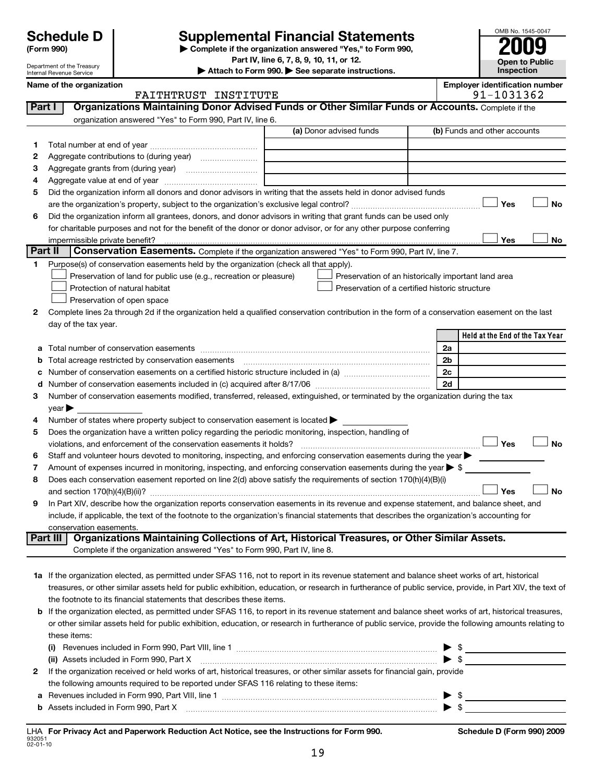# **Supplemental Financial Statements**

**(Form 990) | Complete if the organization answered "Yes," to Form 990,**

**Part IV, line 6, 7, 8, 9, 10, 11, or 12.**

| OMB No. 1545-0047     |
|-----------------------|
| 2009                  |
| <b>Open to Public</b> |
| Inspection            |

| Department of the Treasury<br>Internal Revenue Service |                      |                         |                                                                                                                                                             | $11$ , $111$ $0$ , $1$ , $0$ , $3$ , $10$ , $11$ , $01$ $12$<br>Attach to Form 990. See separate instructions. |                                                     |  |                                       | <b>Open to Public</b><br>Inspection |           |
|--------------------------------------------------------|----------------------|-------------------------|-------------------------------------------------------------------------------------------------------------------------------------------------------------|----------------------------------------------------------------------------------------------------------------|-----------------------------------------------------|--|---------------------------------------|-------------------------------------|-----------|
| Name of the organization                               |                      |                         |                                                                                                                                                             |                                                                                                                |                                                     |  | <b>Employer identification number</b> |                                     |           |
|                                                        | FAITHTRUST INSTITUTE |                         |                                                                                                                                                             |                                                                                                                |                                                     |  |                                       | 91-1031362                          |           |
| Part I                                                 |                      |                         | Organizations Maintaining Donor Advised Funds or Other Similar Funds or Accounts. Complete if the                                                           |                                                                                                                |                                                     |  |                                       |                                     |           |
|                                                        |                      |                         | organization answered "Yes" to Form 990, Part IV, line 6.                                                                                                   |                                                                                                                |                                                     |  |                                       |                                     |           |
|                                                        |                      |                         |                                                                                                                                                             |                                                                                                                | (a) Donor advised funds                             |  |                                       | (b) Funds and other accounts        |           |
| 1.                                                     |                      |                         |                                                                                                                                                             |                                                                                                                |                                                     |  |                                       |                                     |           |
| 2                                                      |                      |                         |                                                                                                                                                             |                                                                                                                |                                                     |  |                                       |                                     |           |
| З                                                      |                      |                         |                                                                                                                                                             |                                                                                                                |                                                     |  |                                       |                                     |           |
| 4                                                      |                      |                         |                                                                                                                                                             |                                                                                                                |                                                     |  |                                       |                                     |           |
| 5                                                      |                      |                         | Did the organization inform all donors and donor advisors in writing that the assets held in donor advised funds                                            |                                                                                                                |                                                     |  |                                       |                                     |           |
|                                                        |                      |                         |                                                                                                                                                             |                                                                                                                |                                                     |  |                                       | Yes                                 | No        |
| 6                                                      |                      |                         | Did the organization inform all grantees, donors, and donor advisors in writing that grant funds can be used only                                           |                                                                                                                |                                                     |  |                                       |                                     |           |
|                                                        |                      |                         | for charitable purposes and not for the benefit of the donor or donor advisor, or for any other purpose conferring                                          |                                                                                                                |                                                     |  |                                       |                                     |           |
|                                                        |                      |                         |                                                                                                                                                             |                                                                                                                |                                                     |  |                                       | Yes                                 | No        |
| Part II                                                |                      |                         | Conservation Easements. Complete if the organization answered "Yes" to Form 990, Part IV, line 7.                                                           |                                                                                                                |                                                     |  |                                       |                                     |           |
| 1                                                      |                      |                         | Purpose(s) of conservation easements held by the organization (check all that apply).                                                                       |                                                                                                                |                                                     |  |                                       |                                     |           |
|                                                        |                      |                         | Preservation of land for public use (e.g., recreation or pleasure)                                                                                          |                                                                                                                | Preservation of an historically important land area |  |                                       |                                     |           |
|                                                        |                      |                         | Protection of natural habitat                                                                                                                               |                                                                                                                | Preservation of a certified historic structure      |  |                                       |                                     |           |
|                                                        |                      |                         | Preservation of open space                                                                                                                                  |                                                                                                                |                                                     |  |                                       |                                     |           |
| 2                                                      |                      |                         | Complete lines 2a through 2d if the organization held a qualified conservation contribution in the form of a conservation easement on the last              |                                                                                                                |                                                     |  |                                       |                                     |           |
|                                                        |                      | day of the tax year.    |                                                                                                                                                             |                                                                                                                |                                                     |  |                                       |                                     |           |
|                                                        |                      |                         |                                                                                                                                                             |                                                                                                                |                                                     |  |                                       | Held at the End of the Tax Year     |           |
| a                                                      |                      |                         |                                                                                                                                                             |                                                                                                                |                                                     |  | 2a                                    |                                     |           |
| b                                                      |                      |                         | Total acreage restricted by conservation easements                                                                                                          |                                                                                                                |                                                     |  | 2 <sub>b</sub>                        |                                     |           |
| с                                                      |                      |                         |                                                                                                                                                             |                                                                                                                |                                                     |  | 2c                                    |                                     |           |
|                                                        | d                    |                         |                                                                                                                                                             |                                                                                                                |                                                     |  | 2d                                    |                                     |           |
| 3                                                      |                      |                         | Number of conservation easements modified, transferred, released, extinguished, or terminated by the organization during the tax                            |                                                                                                                |                                                     |  |                                       |                                     |           |
|                                                        | year                 |                         |                                                                                                                                                             |                                                                                                                |                                                     |  |                                       |                                     |           |
| 4                                                      |                      |                         | Number of states where property subject to conservation easement is located >                                                                               |                                                                                                                |                                                     |  |                                       |                                     |           |
| 5                                                      |                      |                         | Does the organization have a written policy regarding the periodic monitoring, inspection, handling of                                                      |                                                                                                                |                                                     |  |                                       | Yes                                 |           |
|                                                        |                      |                         | violations, and enforcement of the conservation easements it holds?                                                                                         |                                                                                                                |                                                     |  |                                       |                                     | <b>No</b> |
| 6                                                      |                      |                         | Staff and volunteer hours devoted to monitoring, inspecting, and enforcing conservation easements during the year                                           |                                                                                                                |                                                     |  |                                       |                                     |           |
| 7                                                      |                      |                         | Amount of expenses incurred in monitoring, inspecting, and enforcing conservation easements during the year $\triangleright$ \$                             |                                                                                                                |                                                     |  |                                       |                                     |           |
| 8                                                      |                      |                         | Does each conservation easement reported on line 2(d) above satisfy the requirements of section 170(h)(4)(B)(i)                                             |                                                                                                                |                                                     |  |                                       | Yes                                 | <b>No</b> |
| 9                                                      |                      |                         | In Part XIV, describe how the organization reports conservation easements in its revenue and expense statement, and balance sheet, and                      |                                                                                                                |                                                     |  |                                       |                                     |           |
|                                                        |                      |                         | include, if applicable, the text of the footnote to the organization's financial statements that describes the organization's accounting for                |                                                                                                                |                                                     |  |                                       |                                     |           |
|                                                        |                      | conservation easements. |                                                                                                                                                             |                                                                                                                |                                                     |  |                                       |                                     |           |
|                                                        | Part III             |                         | Organizations Maintaining Collections of Art, Historical Treasures, or Other Similar Assets.                                                                |                                                                                                                |                                                     |  |                                       |                                     |           |
|                                                        |                      |                         | Complete if the organization answered "Yes" to Form 990, Part IV, line 8.                                                                                   |                                                                                                                |                                                     |  |                                       |                                     |           |
|                                                        |                      |                         |                                                                                                                                                             |                                                                                                                |                                                     |  |                                       |                                     |           |
|                                                        |                      |                         | 1a If the organization elected, as permitted under SFAS 116, not to report in its revenue statement and balance sheet works of art, historical              |                                                                                                                |                                                     |  |                                       |                                     |           |
|                                                        |                      |                         | treasures, or other similar assets held for public exhibition, education, or research in furtherance of public service, provide, in Part XIV, the text of   |                                                                                                                |                                                     |  |                                       |                                     |           |
|                                                        |                      |                         | the footnote to its financial statements that describes these items.                                                                                        |                                                                                                                |                                                     |  |                                       |                                     |           |
|                                                        |                      |                         | <b>b</b> If the organization elected, as permitted under SFAS 116, to report in its revenue statement and balance sheet works of art, historical treasures, |                                                                                                                |                                                     |  |                                       |                                     |           |
|                                                        |                      |                         | or other similar assets held for public exhibition, education, or research in furtherance of public service, provide the following amounts relating to      |                                                                                                                |                                                     |  |                                       |                                     |           |
|                                                        |                      | these items:            |                                                                                                                                                             |                                                                                                                |                                                     |  |                                       |                                     |           |
|                                                        |                      |                         |                                                                                                                                                             |                                                                                                                |                                                     |  |                                       | $\frac{1}{2}$                       |           |
|                                                        |                      |                         | (ii) Assets included in Form 990, Part X                                                                                                                    |                                                                                                                |                                                     |  |                                       |                                     |           |
| 2                                                      |                      |                         | If the organization received or held works of art, historical treasures, or other similar assets for financial gain, provide                                |                                                                                                                |                                                     |  |                                       |                                     |           |
|                                                        |                      |                         | the following amounts required to be reported under SFAS 116 relating to these items:                                                                       |                                                                                                                |                                                     |  |                                       |                                     |           |
|                                                        |                      |                         | a Revenues included in Form 990, Part VIII, line 1                                                                                                          |                                                                                                                |                                                     |  | \$                                    |                                     |           |

**b** Assets included in Form 990, Part X

~~~~~~~~~~~~~~~~~~~~~~~~~~~~~~~~~~~ | \$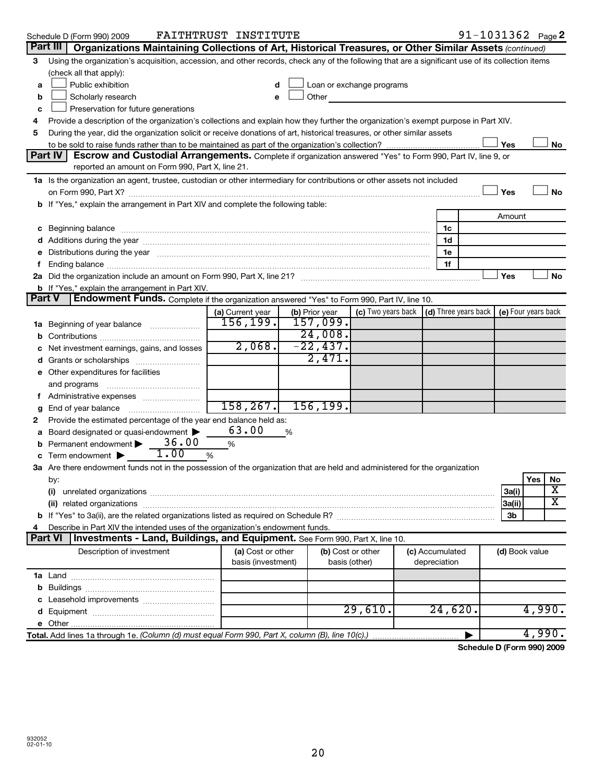|               | Schedule D (Form 990) 2009                                                                                                                                                                                                          | FAITHTRUST INSTITUTE |                |                           |                                                         |                | $91 - 1031362$ Page 2 |
|---------------|-------------------------------------------------------------------------------------------------------------------------------------------------------------------------------------------------------------------------------------|----------------------|----------------|---------------------------|---------------------------------------------------------|----------------|-----------------------|
| Part III      | Organizations Maintaining Collections of Art, Historical Treasures, or Other Similar Assets (continued)                                                                                                                             |                      |                |                           |                                                         |                |                       |
| 3             | Using the organization's acquisition, accession, and other records, check any of the following that are a significant use of its collection items<br>(check all that apply):                                                        |                      |                |                           |                                                         |                |                       |
| a             | Public exhibition                                                                                                                                                                                                                   | d                    |                | Loan or exchange programs |                                                         |                |                       |
| b             | Scholarly research                                                                                                                                                                                                                  | e                    | Other          |                           |                                                         |                |                       |
| c             | Preservation for future generations                                                                                                                                                                                                 |                      |                |                           |                                                         |                |                       |
| 4             | Provide a description of the organization's collections and explain how they further the organization's exempt purpose in Part XIV.                                                                                                 |                      |                |                           |                                                         |                |                       |
| 5             | During the year, did the organization solicit or receive donations of art, historical treasures, or other similar assets                                                                                                            |                      |                |                           |                                                         |                |                       |
|               |                                                                                                                                                                                                                                     |                      |                |                           |                                                         | Yes            | No                    |
|               | Part IV<br>Escrow and Custodial Arrangements. Complete if organization answered "Yes" to Form 990, Part IV, line 9, or                                                                                                              |                      |                |                           |                                                         |                |                       |
|               | reported an amount on Form 990, Part X, line 21.                                                                                                                                                                                    |                      |                |                           |                                                         |                |                       |
|               | 1a Is the organization an agent, trustee, custodian or other intermediary for contributions or other assets not included                                                                                                            |                      |                |                           |                                                         |                |                       |
|               |                                                                                                                                                                                                                                     |                      |                |                           |                                                         | Yes            | No                    |
|               | b If "Yes," explain the arrangement in Part XIV and complete the following table:                                                                                                                                                   |                      |                |                           |                                                         |                |                       |
|               |                                                                                                                                                                                                                                     |                      |                |                           |                                                         | Amount         |                       |
| c             | Beginning balance <b>communications</b> and the contract of the contract of the contract of the contract of the contract of the contract of the contract of the contract of the contract of the contract of the contract of the con |                      |                |                           | 1c                                                      |                |                       |
|               |                                                                                                                                                                                                                                     |                      |                |                           | 1d                                                      |                |                       |
|               | Distributions during the year manufactured and an account of the year manufactured and the year manufactured and the year manufactured and the year manufactured and the year manufactured and the year manufactured and the y      |                      |                |                           | 1e                                                      |                |                       |
|               |                                                                                                                                                                                                                                     |                      |                |                           | 1f                                                      |                |                       |
|               |                                                                                                                                                                                                                                     |                      |                |                           |                                                         | Yes            | No                    |
|               | <b>b</b> If "Yes," explain the arrangement in Part XIV.                                                                                                                                                                             |                      |                |                           |                                                         |                |                       |
| <b>Part V</b> | <b>Endowment Funds.</b> Complete if the organization answered "Yes" to Form 990, Part IV, line 10.                                                                                                                                  |                      |                |                           |                                                         |                |                       |
|               |                                                                                                                                                                                                                                     | (a) Current year     | (b) Prior year |                           | (c) Two years back $\vert$ (d) Three years back $\vert$ |                | (e) Four years back   |
|               | <b>1a</b> Beginning of year balance                                                                                                                                                                                                 | 156, 199.            | 157,099.       |                           |                                                         |                |                       |
|               |                                                                                                                                                                                                                                     |                      | 24,008.        |                           |                                                         |                |                       |
|               | Net investment earnings, gains, and losses                                                                                                                                                                                          | 2,068.               | $-22,437.$     |                           |                                                         |                |                       |
|               | Grants or scholarships                                                                                                                                                                                                              |                      | 2,471.         |                           |                                                         |                |                       |
|               | e Other expenditures for facilities                                                                                                                                                                                                 |                      |                |                           |                                                         |                |                       |
|               | and programs                                                                                                                                                                                                                        |                      |                |                           |                                                         |                |                       |
| Ť.            | Administrative expenses                                                                                                                                                                                                             |                      |                |                           |                                                         |                |                       |
| g             | End of year balance                                                                                                                                                                                                                 | 158, 267.            | 156, 199.      |                           |                                                         |                |                       |
| 2             | Provide the estimated percentage of the year end balance held as:                                                                                                                                                                   |                      |                |                           |                                                         |                |                       |
|               | Board designated or quasi-endowment                                                                                                                                                                                                 | 63.00                | %              |                           |                                                         |                |                       |
| b             | 36.00<br>Permanent endowment                                                                                                                                                                                                        | %                    |                |                           |                                                         |                |                       |
|               | 1.00<br>Term endowment $\blacktriangleright$                                                                                                                                                                                        | %                    |                |                           |                                                         |                |                       |
|               | 3a Are there endowment funds not in the possession of the organization that are held and administered for the organization                                                                                                          |                      |                |                           |                                                         |                |                       |
|               | by:                                                                                                                                                                                                                                 |                      |                |                           |                                                         |                | Yes<br><b>NO</b>      |
|               | (i)                                                                                                                                                                                                                                 |                      |                |                           |                                                         | 3a(i)          | X                     |
|               |                                                                                                                                                                                                                                     |                      |                |                           |                                                         | 3a(ii)         | x                     |
|               |                                                                                                                                                                                                                                     |                      |                |                           |                                                         | 3b             |                       |
|               | Describe in Part XIV the intended uses of the organization's endowment funds.                                                                                                                                                       |                      |                |                           |                                                         |                |                       |
|               | Investments - Land, Buildings, and Equipment. See Form 990, Part X, line 10.<br><b>Part VI</b>                                                                                                                                      |                      |                |                           |                                                         |                |                       |
|               | Description of investment                                                                                                                                                                                                           | (a) Cost or other    |                | (b) Cost or other         | (c) Accumulated                                         | (d) Book value |                       |
|               |                                                                                                                                                                                                                                     | basis (investment)   |                | basis (other)             | depreciation                                            |                |                       |
|               |                                                                                                                                                                                                                                     |                      |                |                           |                                                         |                |                       |
|               |                                                                                                                                                                                                                                     |                      |                |                           |                                                         |                |                       |
|               |                                                                                                                                                                                                                                     |                      |                |                           |                                                         |                |                       |
|               |                                                                                                                                                                                                                                     |                      |                | 29,610.                   | 24,620.                                                 |                | 4,990.                |
| е             |                                                                                                                                                                                                                                     |                      |                |                           |                                                         |                |                       |
|               | Total. Add lines 1a through 1e. (Column (d) must equal Form 990, Part X, column (B), line 10(c).)                                                                                                                                   |                      |                |                           |                                                         |                | 4,990.                |
|               |                                                                                                                                                                                                                                     |                      |                |                           |                                                         |                |                       |

**Schedule D (Form 990) 2009**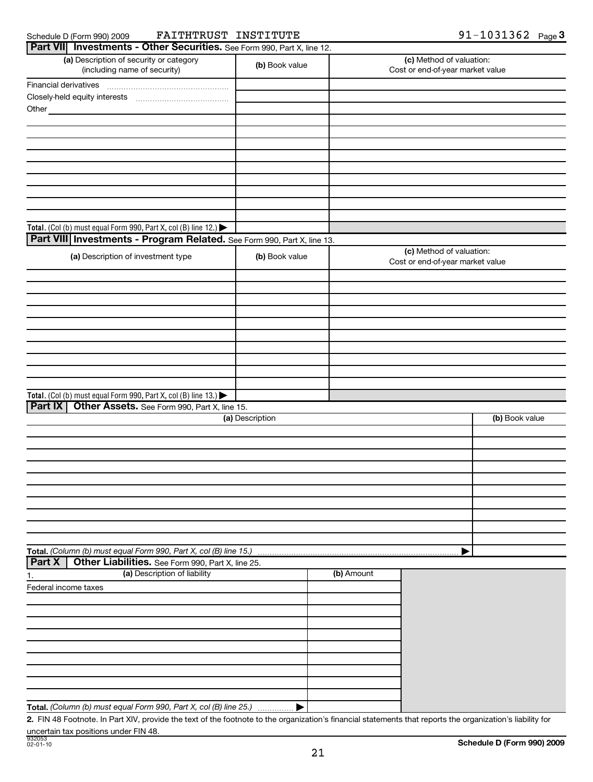| Schedule D (Form 990) 200 |  |  |  |  |
|---------------------------|--|--|--|--|
|---------------------------|--|--|--|--|

# Schedule D (Form 990) 2009 FAITHTRUST INSTITUTE 91-1031362 Page

| Part VII Investments - Other Securities. See Form 990, Part X, line 12. |                 |                                                              |                                                              |                |
|-------------------------------------------------------------------------|-----------------|--------------------------------------------------------------|--------------------------------------------------------------|----------------|
| (a) Description of security or category<br>(including name of security) | (b) Book value  |                                                              | (c) Method of valuation:<br>Cost or end-of-year market value |                |
| Financial derivatives                                                   |                 |                                                              |                                                              |                |
|                                                                         |                 |                                                              |                                                              |                |
| Other_                                                                  |                 |                                                              |                                                              |                |
|                                                                         |                 |                                                              |                                                              |                |
|                                                                         |                 |                                                              |                                                              |                |
|                                                                         |                 |                                                              |                                                              |                |
|                                                                         |                 |                                                              |                                                              |                |
|                                                                         |                 |                                                              |                                                              |                |
|                                                                         |                 |                                                              |                                                              |                |
|                                                                         |                 |                                                              |                                                              |                |
|                                                                         |                 |                                                              |                                                              |                |
|                                                                         |                 |                                                              |                                                              |                |
|                                                                         |                 |                                                              |                                                              |                |
| Total. (Col (b) must equal Form 990, Part X, col (B) line 12.)          |                 |                                                              |                                                              |                |
| Part VIII Investments - Program Related. See Form 990, Part X, line 13. |                 |                                                              |                                                              |                |
| (a) Description of investment type                                      | (b) Book value  | (c) Method of valuation:<br>Cost or end-of-year market value |                                                              |                |
|                                                                         |                 |                                                              |                                                              |                |
|                                                                         |                 |                                                              |                                                              |                |
|                                                                         |                 |                                                              |                                                              |                |
|                                                                         |                 |                                                              |                                                              |                |
|                                                                         |                 |                                                              |                                                              |                |
|                                                                         |                 |                                                              |                                                              |                |
|                                                                         |                 |                                                              |                                                              |                |
|                                                                         |                 |                                                              |                                                              |                |
|                                                                         |                 |                                                              |                                                              |                |
|                                                                         |                 |                                                              |                                                              |                |
|                                                                         |                 |                                                              |                                                              |                |
| Total. (Col (b) must equal Form 990, Part X, col (B) line 13.)          |                 |                                                              |                                                              |                |
| Part IX   Other Assets. See Form 990, Part X, line 15.                  |                 |                                                              |                                                              |                |
|                                                                         | (a) Description |                                                              |                                                              | (b) Book value |
|                                                                         |                 |                                                              |                                                              |                |
|                                                                         |                 |                                                              |                                                              |                |
|                                                                         |                 |                                                              |                                                              |                |
|                                                                         |                 |                                                              |                                                              |                |
|                                                                         |                 |                                                              |                                                              |                |
|                                                                         |                 |                                                              |                                                              |                |
|                                                                         |                 |                                                              |                                                              |                |
|                                                                         |                 |                                                              |                                                              |                |
|                                                                         |                 |                                                              |                                                              |                |
|                                                                         |                 |                                                              |                                                              |                |
|                                                                         |                 |                                                              |                                                              |                |
| Total. (Column (b) must equal Form 990, Part X, col (B) line 15.)       |                 |                                                              |                                                              |                |
| <b>Part X</b><br>Other Liabilities. See Form 990, Part X, line 25.      |                 |                                                              |                                                              |                |
| (a) Description of liability<br>1.                                      |                 | (b) Amount                                                   |                                                              |                |
| Federal income taxes                                                    |                 |                                                              |                                                              |                |
|                                                                         |                 |                                                              |                                                              |                |
|                                                                         |                 |                                                              |                                                              |                |
|                                                                         |                 |                                                              |                                                              |                |
|                                                                         |                 |                                                              |                                                              |                |
|                                                                         |                 |                                                              |                                                              |                |
|                                                                         |                 |                                                              |                                                              |                |
|                                                                         |                 |                                                              |                                                              |                |
|                                                                         |                 |                                                              |                                                              |                |
|                                                                         |                 |                                                              |                                                              |                |
|                                                                         |                 |                                                              |                                                              |                |
| Total. (Column (b) must equal Form 990, Part X, col (B) line 25.)       |                 |                                                              |                                                              |                |

**2.** FIN 48 Footnote. In Part XIV, provide the text of the footnote to the organization's financial statements that reports the organization's liability for uncertain tax positions under FIN 48.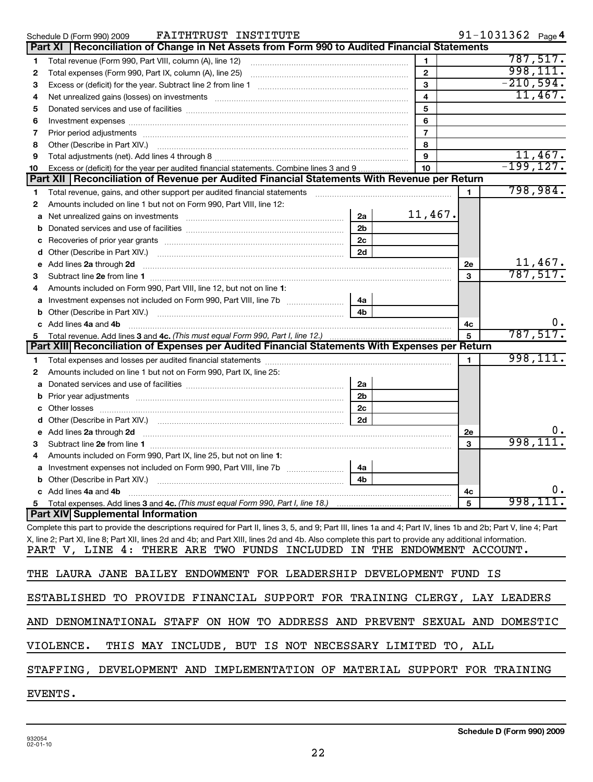|    | FAITHTRUST INSTITUTE<br>Schedule D (Form 990) 2009                                                                                                                                                                                   |                |              | $91 - 1031362$ Page 4 |    |
|----|--------------------------------------------------------------------------------------------------------------------------------------------------------------------------------------------------------------------------------------|----------------|--------------|-----------------------|----|
|    | Reconciliation of Change in Net Assets from Form 990 to Audited Financial Statements<br>Part XI                                                                                                                                      |                |              |                       |    |
| 1  | Total revenue (Form 990, Part VIII, column (A), line 12)                                                                                                                                                                             | 1              |              | 787,517.              |    |
| 2  | Total expenses (Form 990, Part IX, column (A), line 25)                                                                                                                                                                              | $\mathbf{2}$   |              | 998, 111.             |    |
| 3  |                                                                                                                                                                                                                                      | 3              |              | $-210,594.$           |    |
| 4  | Net unrealized gains (losses) on investments [111] www.communicalizations.communications.com                                                                                                                                         | 4              |              | 11,467.               |    |
| 5  |                                                                                                                                                                                                                                      | 5              |              |                       |    |
| 6  |                                                                                                                                                                                                                                      | 6              |              |                       |    |
| 7  | Prior period adjustments [111] matter contracts and all the contracts and an analyzing contracts and adjustments                                                                                                                     | $\overline{7}$ |              |                       |    |
| 8  | Other (Describe in Part XIV.) <b>Process and Contain and Container and Container and Container and Container and Container and Container and Container and Container and Container and Container and Container and Container and</b> | 8              |              |                       |    |
| 9  |                                                                                                                                                                                                                                      | 9              |              | 11,467.               |    |
| 10 | Excess or (deficit) for the year per audited financial statements. Combine lines 3 and 9                                                                                                                                             | 10             |              | $-199, 127.$          |    |
|    | Part XII   Reconciliation of Revenue per Audited Financial Statements With Revenue per Return                                                                                                                                        |                |              |                       |    |
| 1  | Total revenue, gains, and other support per audited financial statements                                                                                                                                                             |                | 1            | 798,984.              |    |
| 2  | Amounts included on line 1 but not on Form 990, Part VIII, line 12:                                                                                                                                                                  |                |              |                       |    |
| a  | 2a<br>Net unrealized gains on investments                                                                                                                                                                                            | 11,467.        |              |                       |    |
| b  | 2 <sub>b</sub>                                                                                                                                                                                                                       |                |              |                       |    |
| с  | 2c                                                                                                                                                                                                                                   |                |              |                       |    |
| d  | 2d                                                                                                                                                                                                                                   |                |              |                       |    |
| е  | Add lines 2a through 2d                                                                                                                                                                                                              |                | <b>2e</b>    | 11,467.               |    |
| 3  |                                                                                                                                                                                                                                      |                | 3            | 787,517.              |    |
| 4  | Amounts included on Form 990, Part VIII, line 12, but not on line 1:                                                                                                                                                                 |                |              |                       |    |
| a  | 4a                                                                                                                                                                                                                                   |                |              |                       |    |
| b  | 4b                                                                                                                                                                                                                                   |                |              |                       |    |
| c  | Add lines 4a and 4b                                                                                                                                                                                                                  |                | 4с           |                       |    |
| 5  |                                                                                                                                                                                                                                      |                | 5            | 787,517.              |    |
|    | Part XIII Reconciliation of Expenses per Audited Financial Statements With Expenses per Return                                                                                                                                       |                |              |                       |    |
| 1  |                                                                                                                                                                                                                                      |                | $\mathbf{1}$ | 998, 111.             |    |
| 2  | Amounts included on line 1 but not on Form 990, Part IX, line 25:                                                                                                                                                                    |                |              |                       |    |
| a  | 2a                                                                                                                                                                                                                                   |                |              |                       |    |
| b  | 2 <sub>b</sub>                                                                                                                                                                                                                       |                |              |                       |    |
| c  | 2c                                                                                                                                                                                                                                   |                |              |                       |    |
| d  | 2d                                                                                                                                                                                                                                   |                |              |                       |    |
| е  | Add lines 2a through 2d                                                                                                                                                                                                              |                | <b>2e</b>    |                       |    |
| 3  |                                                                                                                                                                                                                                      |                | 3            | 998,11                |    |
| 4  | Amounts included on Form 990, Part IX, line 25, but not on line 1:                                                                                                                                                                   |                |              |                       |    |
|    | 4a                                                                                                                                                                                                                                   |                |              |                       |    |
|    | 4b                                                                                                                                                                                                                                   |                |              |                       |    |
|    | c Add lines 4a and 4b                                                                                                                                                                                                                |                | 4с           |                       | ο. |
|    | 5 Total expenses. Add lines 3 and 4c. (This must equal Form 990, Part I, line 18.)                                                                                                                                                   |                | 5            | 998,111.              |    |
|    | <b>Part XIV Supplemental Information</b>                                                                                                                                                                                             |                |              |                       |    |
|    | Complete this part to provide the descriptions required for Part II, lines 3, 5, and 9; Part III, lines 1a and 4; Part IV, lines 1b and 2b; Part V, line 4; Part                                                                     |                |              |                       |    |
|    | X, line 2; Part XI, line 8; Part XII, lines 2d and 4b; and Part XIII, lines 2d and 4b. Also complete this part to provide any additional information.                                                                                |                |              |                       |    |
|    | PART V, LINE 4: THERE ARE TWO FUNDS INCLUDED IN THE ENDOWMENT ACCOUNT.                                                                                                                                                               |                |              |                       |    |
|    |                                                                                                                                                                                                                                      |                |              |                       |    |
|    | THE LAURA JANE BAILEY ENDOWMENT FOR LEADERSHIP DEVELOPMENT FUND IS                                                                                                                                                                   |                |              |                       |    |
|    |                                                                                                                                                                                                                                      |                |              |                       |    |
|    | ESTABLISHED TO PROVIDE FINANCIAL SUPPORT FOR TRAINING CLERGY, LAY LEADERS                                                                                                                                                            |                |              |                       |    |
|    | AND DENOMINATIONAL STAFF ON HOW TO ADDRESS AND PREVENT SEXUAL AND DOMESTIC                                                                                                                                                           |                |              |                       |    |
|    | THIS MAY INCLUDE, BUT IS NOT NECESSARY LIMITED TO, ALL<br>VIOLENCE.                                                                                                                                                                  |                |              |                       |    |
|    | STAFFING, DEVELOPMENT AND IMPLEMENTATION OF MATERIAL SUPPORT FOR TRAINING                                                                                                                                                            |                |              |                       |    |
|    | EVENTS.                                                                                                                                                                                                                              |                |              |                       |    |
|    |                                                                                                                                                                                                                                      |                |              |                       |    |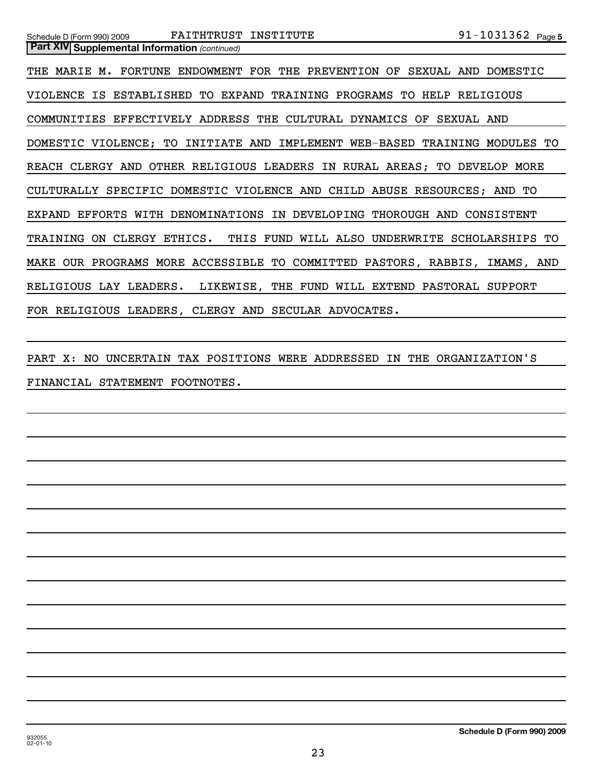THE MARIE M. FORTUNE ENDOWMENT FOR THE PREVENTION OF SEXUAL AND DOMESTIC VIOLENCE IS ESTABLISHED TO EXPAND TRAINING PROGRAMS TO HELP RELIGIOUS COMMUNITIES EFFECTIVELY ADDRESS THE CULTURAL DYNAMICS OF SEXUAL AND DOMESTIC VIOLENCE; TO INITIATE AND IMPLEMENT WEB-BASED TRAINING MODULES TO REACH CLERGY AND OTHER RELIGIOUS LEADERS IN RURAL AREAS; TO DEVELOP MORE CULTURALLY SPECIFIC DOMESTIC VIOLENCE AND CHILD ABUSE RESOURCES; AND TO EXPAND EFFORTS WITH DENOMINATIONS IN DEVELOPING THOROUGH AND CONSISTENT TRAINING ON CLERGY ETHICS. THIS FUND WILL ALSO UNDERWRITE SCHOLARSHIPS TO MAKE OUR PROGRAMS MORE ACCESSIBLE TO COMMITTED PASTORS, RABBIS, IMAMS, AND RELIGIOUS LAY LEADERS. LIKEWISE, THE FUND WILL EXTEND PASTORAL SUPPORT FOR RELIGIOUS LEADERS, CLERGY AND SECULAR ADVOCATES.

PART X: NO UNCERTAIN TAX POSITIONS WERE ADDRESSED IN THE ORGANIZATION'S FINANCIAL STATEMENT FOOTNOTES.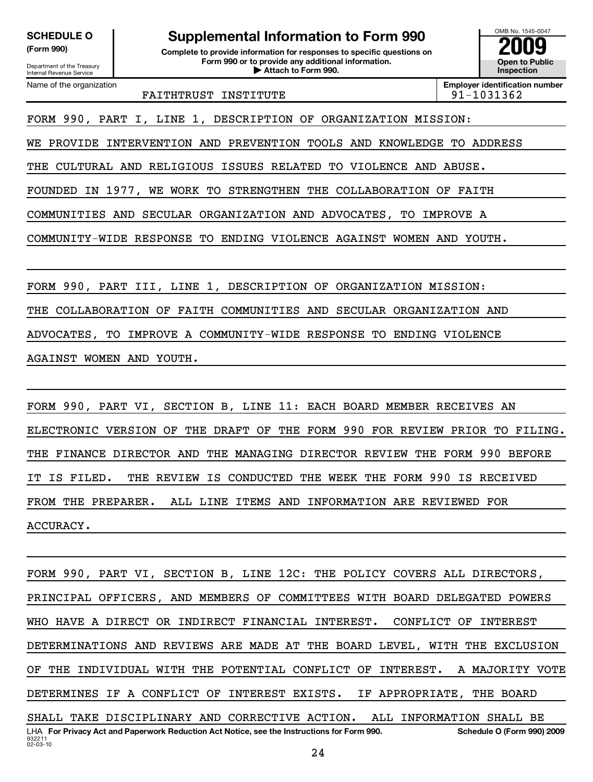Department of the Treasury Internal Revenue Service

**(Form 990) Complete to provide information for responses to specific questions on Form 990 or to provide any additional information. | Attach to Form 990. Open to Public** SCHEDULE O<br> **Supplemental Information to Form 990**<br> **Supplemental Information for responses to specific questions on**<br> **Experimental Scheper to Public**<br> **Experimental Scheper to Public**<br> **Experimental Scheper to Public** 

OMB No. 1545-0047 **Inspection**

Name of the organization

**Employer identification number** FAITHTRUST INSTITUTE **191-1031362** 

FORM 990, PART I, LINE 1, DESCRIPTION OF ORGANIZATION MISSION:

WE PROVIDE INTERVENTION AND PREVENTION TOOLS AND KNOWLEDGE TO ADDRESS

THE CULTURAL AND RELIGIOUS ISSUES RELATED TO VIOLENCE AND ABUSE.

FOUNDED IN 1977, WE WORK TO STRENGTHEN THE COLLABORATION OF FAITH

COMMUNITIES AND SECULAR ORGANIZATION AND ADVOCATES, TO IMPROVE A

COMMUNITY-WIDE RESPONSE TO ENDING VIOLENCE AGAINST WOMEN AND YOUTH.

FORM 990, PART III, LINE 1, DESCRIPTION OF ORGANIZATION MISSION: THE COLLABORATION OF FAITH COMMUNITIES AND SECULAR ORGANIZATION AND ADVOCATES, TO IMPROVE A COMMUNITY-WIDE RESPONSE TO ENDING VIOLENCE AGAINST WOMEN AND YOUTH.

FORM 990, PART VI, SECTION B, LINE 11: EACH BOARD MEMBER RECEIVES AN ELECTRONIC VERSION OF THE DRAFT OF THE FORM 990 FOR REVIEW PRIOR TO FILING. THE FINANCE DIRECTOR AND THE MANAGING DIRECTOR REVIEW THE FORM 990 BEFORE IT IS FILED. THE REVIEW IS CONDUCTED THE WEEK THE FORM 990 IS RECEIVED FROM THE PREPARER. ALL LINE ITEMS AND INFORMATION ARE REVIEWED FOR ACCURACY.

932211 02-03-10 **For Privacy Act and Paperwork Reduction Act Notice, see the Instructions for Form 990. Schedule O (Form 990) 2009** LHA FORM 990, PART VI, SECTION B, LINE 12C: THE POLICY COVERS ALL DIRECTORS, PRINCIPAL OFFICERS, AND MEMBERS OF COMMITTEES WITH BOARD DELEGATED POWERS WHO HAVE A DIRECT OR INDIRECT FINANCIAL INTEREST. CONFLICT OF INTEREST DETERMINATIONS AND REVIEWS ARE MADE AT THE BOARD LEVEL, WITH THE EXCLUSION OF THE INDIVIDUAL WITH THE POTENTIAL CONFLICT OF INTEREST. A MAJORITY VOTE DETERMINES IF A CONFLICT OF INTEREST EXISTS. IF APPROPRIATE, THE BOARD SHALL TAKE DISCIPLINARY AND CORRECTIVE ACTION. ALL INFORMATION SHALL BE